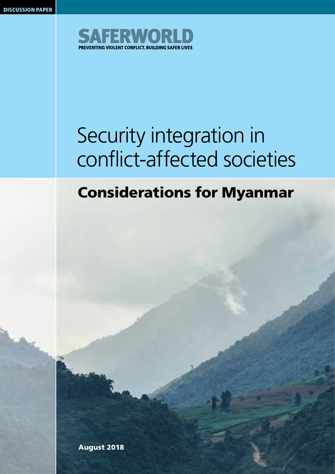

## Security integration in conflict-affected societies

### Considerations for Myanmar

August 2018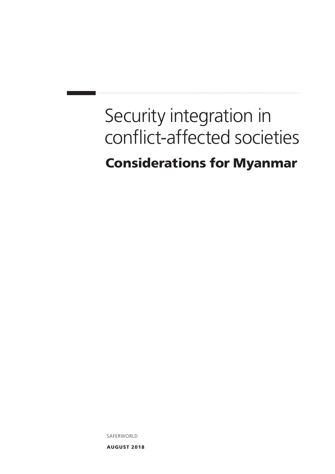### Security integration in conflict-affected societies Considerations for Myanmar

SAFERWORLD

AUGUST 2018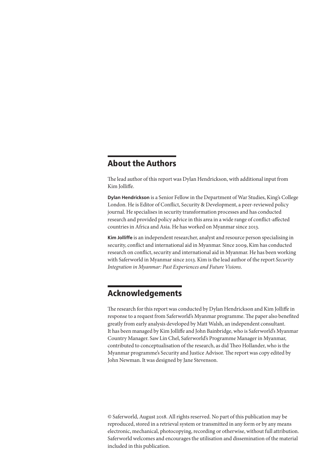### About the Authors

The lead author of this report was Dylan Hendrickson, with additional input from Kim Jolliffe.

**Dylan Hendrickson** is a Senior Fellow in the Department of War Studies, King's College London. He is Editor of Conflict, Security & Development, a peer-reviewed policy journal. He specialises in security transformation processes and has conducted research and provided policy advice in this area in a wide range of conflict-affected countries in Africa and Asia. He has worked on Myanmar since 2013.

**Kim Jolliffe** is an independent researcher, analyst and resource person specialising in security, conflict and international aid in Myanmar. Since 2009, Kim has conducted research on conflict, security and international aid in Myanmar. He has been working with Saferworld in Myanmar since 2013. Kim is the lead author of the report *Security Integration in Myanmar: Past Experiences and Future Visions*.

### Acknowledgements

The research for this report was conducted by Dylan Hendrickson and Kim Jolliffe in response to a request from Saferworld's Myanmar programme. The paper also benefited greatly from early analysis developed by Matt Walsh, an independent consultant. It has been managed by Kim Jolliffe and John Bainbridge, who is Saferworld's Myanmar Country Manager. Saw Lin Chel, Saferworld's Programme Manager in Myanmar, contributed to conceptualisation of the research, as did Theo Hollander, who is the Myanmar programme's Security and Justice Advisor. The report was copy edited by John Newman. It was designed by Jane Stevenson.

© Saferworld, August 2018. All rights reserved. No part of this publication may be reproduced, stored in a retrieval system or transmitted in any form or by any means electronic, mechanical, photocopying, recording or otherwise, without full attribution. Saferworld welcomes and encourages the utilisation and dissemination of the material included in this publication.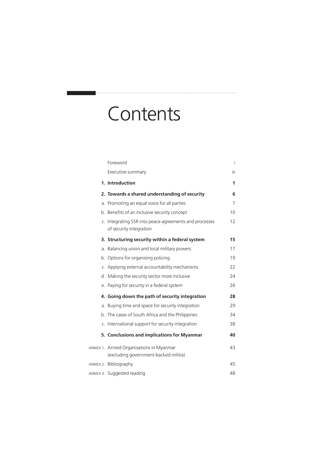### **Contents**

| Foreword                                                                          | İ   |
|-----------------------------------------------------------------------------------|-----|
| Executive summary                                                                 | iii |
| 1. Introduction                                                                   | 1   |
| 2. Towards a shared understanding of security                                     | 6   |
| a. Promoting an equal voice for all parties                                       | 7   |
| b. Benefits of an inclusive security concept                                      | 10  |
| c. Integrating SSR into peace agreements and processes<br>of security integration | 12  |
| 3. Structuring security within a federal system                                   | 15  |
| a. Balancing union and local military powers                                      | 17  |
| b. Options for organising policing                                                | 19  |
| c. Applying external accountability mechanisms                                    | 22  |
| d. Making the security sector more inclusive                                      | 24  |
| e. Paying for security in a federal system                                        | 26  |
| 4. Going down the path of security integration                                    | 28  |
| a. Buying time and space for security integration                                 | 29  |
| b. The cases of South Africa and the Philippines                                  | 34  |
| c. International support for security integration                                 | 38  |
| 5. Conclusions and implications for Myanmar                                       | 40  |
| ANNEX 1: Armed Organisations in Myanmar<br>(excluding government-backed militia)  | 43  |
| ANNEX 2: Bibliography                                                             | 45  |
| ANNEX 3: Suggested reading                                                        | 48  |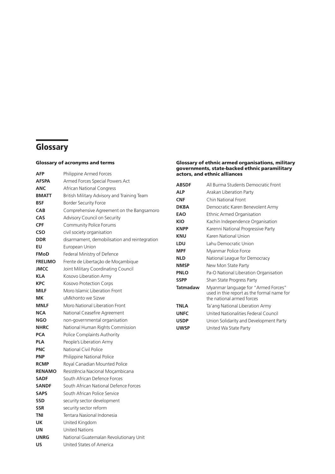### **Glossary**

### Glossary of acronyms and terms

| AFP            | Philippine Armed Forces                       |
|----------------|-----------------------------------------------|
| <b>AFSPA</b>   | Armed Forces Special Powers Act               |
| <b>ANC</b>     | <b>African National Congress</b>              |
| <b>BMATT</b>   | British Military Advisory and Training Team   |
| <b>BSF</b>     | <b>Border Security Force</b>                  |
| <b>CAB</b>     | Comprehensive Agreement on the Bangsamoro     |
| CAS            | Advisory Council on Security                  |
| <b>CPF</b>     | Community Police Forums                       |
| <b>CSO</b>     | civil society organisation                    |
| <b>DDR</b>     | disarmament, demobilisation and reintegration |
| EU             | European Union                                |
| <b>FMoD</b>    | Federal Ministry of Defence                   |
| <b>FRELIMO</b> | Frente de Libertação de Moçambique            |
| <b>JMCC</b>    | Joint Military Coordinating Council           |
| <b>KLA</b>     | Kosovo Liberation Army                        |
| <b>KPC</b>     | <b>Kosovo Protection Corps</b>                |
| <b>MILF</b>    | Moro Islamic Liberation Front                 |
| MК             | uMkhonto we Sizwe                             |
| <b>MNLF</b>    | Moro National Liberation Front                |
| <b>NCA</b>     | National Ceasefire Agreement                  |
| <b>NGO</b>     | non-governmental organisation                 |
| <b>NHRC</b>    | National Human Rights Commission              |
| <b>PCA</b>     | Police Complaints Authority                   |
| <b>PLA</b>     | People's Liberation Army                      |
| <b>PNC</b>     | National Civil Police                         |
| <b>PNP</b>     | Philippine National Police                    |
| <b>RCMP</b>    | Royal Canadian Mounted Police                 |
| <b>RENAMO</b>  | Resistência Nacional Moçambicana              |
| <b>SADF</b>    | South African Defence Forces                  |
| <b>SANDF</b>   | South African National Defence Forces         |
| <b>SAPS</b>    | South African Police Service                  |
| <b>SSD</b>     | security sector development                   |
| <b>SSR</b>     | security sector reform                        |
| <b>TNI</b>     | Tentara Nasional Indonesia                    |
| UK             | United Kingdom                                |
| UN             | <b>United Nations</b>                         |
| <b>UNRG</b>    | National Guatemalan Revolutionary Unit        |
| US             | United States of America                      |

#### Glossary of ethnic armed organisations, military governments, state-backed ethnic paramilitary actors, and ethnic alliances

| <b>ABSDF</b>    | All Burma Students Democratic Front                                                                            |
|-----------------|----------------------------------------------------------------------------------------------------------------|
| <b>ALP</b>      | Arakan Liberation Party                                                                                        |
| <b>CNF</b>      | Chin National Front                                                                                            |
| <b>DKBA</b>     | Democratic Karen Benevolent Army                                                                               |
| EAO             | Ethnic Armed Organisation                                                                                      |
| KIO             | Kachin Independence Organisation                                                                               |
| <b>KNPP</b>     | Karenni National Progressive Party                                                                             |
| KNU             | Karen National Union                                                                                           |
| LDU             | Lahu Democratic Union                                                                                          |
| <b>MPF</b>      | Myanmar Police Force                                                                                           |
| <b>NLD</b>      | National League for Democracy                                                                                  |
| <b>NMSP</b>     | New Mon State Party                                                                                            |
| <b>PNLO</b>     | Pa-O National Liberation Organisation                                                                          |
| <b>SSPP</b>     | Shan State Progress Party                                                                                      |
| <b>Tatmadaw</b> | Myanmar language for "Armed Forces"<br>used in thie report as the formal name for<br>the national armed forces |
| <b>TNLA</b>     | Ta'ang National Liberation Army                                                                                |
| <b>UNFC</b>     | United Nationalities Federal Council                                                                           |
| <b>USDP</b>     | Union Solidarity and Development Party                                                                         |
| <b>UWSP</b>     | United Wa State Party                                                                                          |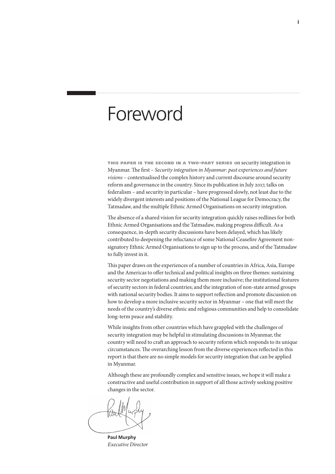### Foreword

this paper is the second in <sup>a</sup> two-part series on security integration in Myanmar. The first – *Security integration in Myanmar: past experiences and future visions* – contextualised the complex history and current discourse around security reform and governance in the country. Since its publication in July 2017, talks on federalism – and security in particular – have progressed slowly, not least due to the widely divergent interests and positions of the National League for Democracy, the Tatmadaw, and the multiple Ethnic Armed Organisations on security integration.

The absence of a shared vision for security integration quickly raises redlines for both Ethnic Armed Organisations and the Tatmadaw, making progress difficult. As a consequence, in-depth security discussions have been delayed, which has likely contributed to deepening the reluctance of some National Ceasefire Agreement nonsignatory Ethnic Armed Organisations to sign up to the process, and of the Tatmadaw to fully invest in it.

This paper draws on the experiences of a number of countries in Africa, Asia, Europe and the Americas to offer technical and political insights on three themes: sustaining security sector negotiations and making them more inclusive; the institutional features of security sectors in federal countries; and the integration of non-state armed groups with national security bodies. It aims to support reflection and promote discussion on how to develop a more inclusive security sector in Myanmar – one that will meet the needs of the country's diverse ethnic and religious communities and help to consolidate long-term peace and stability.

While insights from other countries which have grappled with the challenges of security integration may be helpful in stimulating discussions in Myanmar, the country will need to craft an approach to security reform which responds to its unique circumstances. The overarching lesson from the diverse experiences reflected in this report is that there are no simple models for security integration that can be applied in Myanmar.

Although these are profoundly complex and sensitive issues, we hope it will make a constructive and useful contribution in support of all those actively seeking positive changes in the sector.

**Paul Murphy** *Executive Director*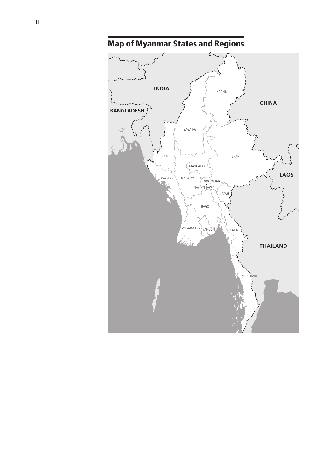

Map of Myanmar States and Regions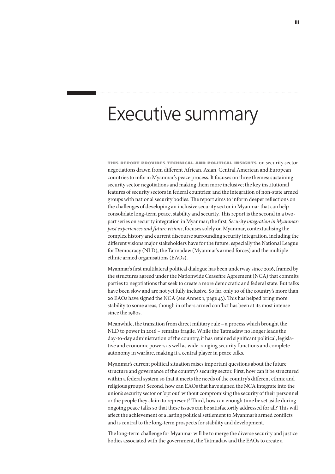### Executive summary

this report provides technical and political insights on security sector negotiations drawn from different African, Asian, Central American and European countries to inform Myanmar's peace process. It focuses on three themes: sustaining security sector negotiations and making them more inclusive; the key institutional features of security sectors in federal countries; and the integration of non-state armed groups with national security bodies. The report aims to inform deeper reflections on the challenges of developing an inclusive security sector in Myanmar that can help consolidate long-term peace, stability and security. This report is the second in a twopart series on security integration in Myanmar; the first, *Security integration in Myanmar: past experiences and future visions*, focuses solely on Myanmar, contextualising the complex history and current discourse surrounding security integration, including the different visions major stakeholders have for the future: especially the National League for Democracy (NLD), the Tatmadaw (Myanmar's armed forces) and the multiple ethnic armed organisations (EAOs).

Myanmar's first multilateral political dialogue has been underway since 2016, framed by the structures agreed under the Nationwide Ceasefire Agreement (NCA) that commits parties to negotiations that seek to create a more democratic and federal state. But talks have been slow and are not yet fully inclusive. So far, only 10 of the country's more than 20 EAOs have signed the NCA (see Annex 1, page 43). This has helped bring more stability to some areas, though in others armed conflict has been at its most intense since the 1980s.

Meanwhile, the transition from direct military rule – a process which brought the NLD to power in 2016 – remains fragile. While the Tatmadaw no longer leads the day-to-day administration of the country, it has retained significant political, legislative and economic powers as well as wide-ranging security functions and complete autonomy in warfare, making it a central player in peace talks.

Myanmar's current political situation raises important questions about the future structure and governance of the country's security sector. First, how can it be structured within a federal system so that it meets the needs of the country's different ethnic and religious groups? Second, how can EAOs that have signed the NCA integrate into the union's security sector or 'opt out' without compromising the security of their personnel or the people they claim to represent? Third, how can enough time be set aside during ongoing peace talks so that these issues can be satisfactorily addressed for all? This will affect the achievement of a lasting political settlement to Myanmar's armed conflicts and is central to the long-term prospects for stability and development.

The long-term challenge for Myanmar will be to merge the diverse security and justice bodies associated with the government, the Tatmadaw and the EAOs to create a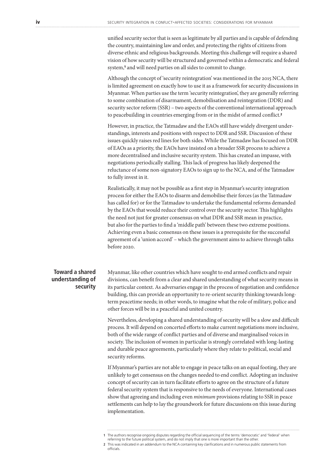unified security sector that is seen as legitimate by all parties and is capable of defending the country, maintaining law and order, and protecting the rights of citizens from diverse ethnic and religious backgrounds. Meeting this challenge will require a shared vision of how security will be structured and governed within a democratic and federal system,<sup>1</sup> and will need parties on all sides to commit to change.

Although the concept of 'security reintegration' was mentioned in the 2015 NCA, there is limited agreement on exactly how to use it as a framework for security discussions in Myanmar. When parties use the term 'security reintegration', they are generally referring to some combination of disarmament, demobilisation and reintegration (DDR) and security sector reform (SSR) – two aspects of the conventional international approach to peacebuilding in countries emerging from or in the midst of armed conflict.<sup>2</sup>

However, in practice, the Tatmadaw and the EAOs still have widely divergent understandings, interests and positions with respect to DDR and SSR. Discussion of these issues quickly raises red lines for both sides. While the Tatmadaw has focused on DDR of EAOs as a priority, the EAOs have insisted on a broader SSR process to achieve a more decentralised and inclusive security system. This has created an impasse, with negotiations periodically stalling. This lack of progress has likely deepened the reluctance of some non-signatory EAOs to sign up to the NCA, and of the Tatmadaw to fully invest in it.

Realistically, it may not be possible as a first step in Myanmar's security integration process for either the EAOs to disarm and demobilise their forces (as the Tatmadaw has called for) or for the Tatmadaw to undertake the fundamental reforms demanded by the EAOs that would reduce their control over the security sector. This highlights the need not just for greater consensus on what DDR and SSR mean in practice, but also for the parties to find a 'middle path' between these two extreme positions. Achieving even a basic consensus on these issues is a prerequisite for the successful agreement of a 'union accord' – which the government aims to achieve through talks before 2020.

### **Toward a shared understanding of security**

Myanmar, like other countries which have sought to end armed conflicts and repair divisions, can benefit from a clear and shared understanding of what security means in its particular context. As adversaries engage in the process of negotiation and confidence building, this can provide an opportunity to re-orient security thinking towards longterm peacetime needs; in other words, to imagine what the role of military, police and other forces will be in a peaceful and united country.

Nevertheless, developing a shared understanding of security will be a slow and difficult process. It will depend on concerted efforts to make current negotiations more inclusive, both of the wide range of conflict parties and of diverse and marginalised voices in society. The inclusion of women in particular is strongly correlated with long-lasting and durable peace agreements, particularly where they relate to political, social and security reforms.

If Myanmar's parties are not able to engage in peace talks on an equal footing, they are unlikely to get consensus on the changes needed to end conflict. Adopting an inclusive concept of security can in turn facilitate efforts to agree on the structure of a future federal security system that is responsive to the needs of everyone. International cases show that agreeing and including even *minimum* provisions relating to SSR in peace settlements can help to lay the groundwork for future discussions on this issue during implementation.

- referring to the future political system, and do not imply that one is more important than the other.
- **2** This was indicated in an addendum to the NCA containing key clarifications and in numerous public statements from

officials.

**<sup>1</sup>** The authors recognise ongoing disputes regarding the official sequencing of the terms 'democratic' and 'federal' when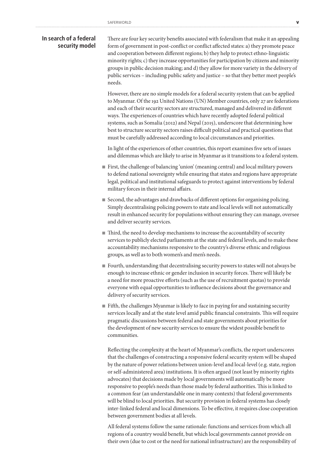### **In search of a federal security model**

There are four key security benefits associated with federalism that make it an appealing form of government in post-conflict or conflict affected states: a) they promote peace and cooperation between different regions; b) they help to protect ethno-linguistic minority rights; c) they increase opportunities for participation by citizens and minority groups in public decision making; and d) they allow for more variety in the delivery of public services – including public safety and justice – so that they better meet people's needs.

However, there are no simple models for a federal security system that can be applied to Myanmar. Of the 192 United Nations (UN) Member countries, only 27 are federations and each of their security sectors are structured, managed and delivered in different ways. The experiences of countries which have recently adopted federal political systems, such as Somalia (2012) and Nepal (2015), underscore that determining how best to structure security sectors raises difficult political and practical questions that must be carefully addressed according to local circumstances and priorities.

In light of the experiences of other countries, this report examines five sets of issues and dilemmas which are likely to arise in Myanmar as it transitions to a federal system.

- First, the challenge of balancing 'union' (meaning central) and local military powers to defend national sovereignty while ensuring that states and regions have appropriate legal, political and institutional safeguards to protect against interventions by federal military forces in their internal affairs.
- Second, the advantages and drawbacks of different options for organising policing. Simply decentralising policing powers to state and local levels will not automatically result in enhanced security for populations without ensuring they can manage, oversee and deliver security services.
- Third, the need to develop mechanisms to increase the accountability of security services to publicly elected parliaments at the state and federal levels, and to make these accountability mechanisms responsive to the country's diverse ethnic and religious groups, as well as to both women's and men's needs.
- Fourth, understanding that decentralising security powers to states will not always be enough to increase ethnic or gender inclusion in security forces. There will likely be a need for more proactive efforts (such as the use of recruitment quotas) to provide everyone with equal opportunities to influence decisions about the governance and delivery of security services.
- Fifth, the challenges Myanmar is likely to face in paying for and sustaining security services locally and at the state level amid public financial constraints. This will require pragmatic discussions between federal and state governments about priorities for the development of new security services to ensure the widest possible benefit to communities.

Reflecting the complexity at the heart of Myanmar's conflicts, the report underscores that the challenges of constructing a responsive federal security system will be shaped by the nature of power relations between union-level and local-level (e.g. state, region or self-administered area) institutions. It is often argued (not least by minority rights advocates) that decisions made by local governments will automatically be more responsive to people's needs than those made by federal authorities. This is linked to a common fear (an understandable one in many contexts) that federal governments will be blind to local priorities. But security provision in federal systems has closely inter-linked federal and local dimensions. To be effective, it requires close cooperation between government bodies at all levels.

All federal systems follow the same rationale: functions and services from which all regions of a country would benefit, but which local governments cannot provide on their own (due to cost or the need for national infrastructure) are the responsibility of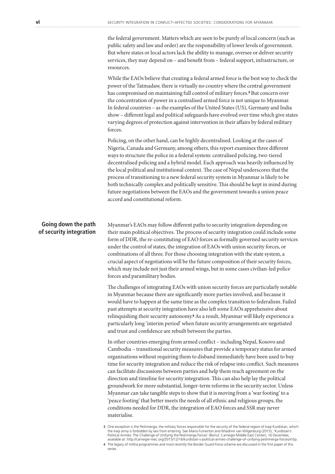the federal government. Matters which are seen to be purely of local concern (such as public safety and law and order) are the responsibility of lower levels of government. But where states or local actors lack the ability to manage, oversee or deliver security services, they may depend on – and benefit from – federal support, infrastructure, or resources.

While the EAOs believe that creating a federal armed force is the best way to check the power of the Tatmadaw, there is virtually no country where the central government has compromised on maintaining full control of military forces.<sup>3</sup> But concern over the concentration of power in a centralised armed force is not unique to Myanmar. In federal countries – as the examples of the United States (US), Germany and India show – different legal and political safeguards have evolved over time which give states varying degrees of protection against intervention in their affairs by federal military forces.

Policing, on the other hand, can be highly decentralised. Looking at the cases of Nigeria, Canada and Germany, among others, this report examines three different ways to structure the police in a federal system: centralised policing, two-tiered decentralised policing and a hybrid model. Each approach was heavily influenced by the local political and institutional context. The case of Nepal underscores that the process of transitioning to a new federal security system in Myanmar is likely to be both technically complex and politically sensitive. This should be kept in mind during future negotiations between the EAOs and the government towards a union peace accord and constitutional reform.

### **Going down the path of security integration**

Myanmar's EAOs may follow different paths to security integration depending on their main political objectives. The process of security integration could include some form of DDR, the re-constituting of EAO forces as formally governed security services under the control of states, the integration of EAOs with union security forces, or combinations of all three. For those choosing integration with the state system, a crucial aspect of negotiations will be the future composition of their security forces, which may include not just their armed wings, but in some cases civilian-led police forces and paramilitary bodies.

The challenges of integrating EAOs with union security forces are particularly notable in Myanmar because there are significantly more parties involved, and because it would have to happen at the same time as the complex transition to federalism. Failed past attempts at security integration have also left some EAOs apprehensive about relinquishing their security autonomy.4 As a result, Myanmar will likely experience a particularly long 'interim period' when future security arrangements are negotiated and trust and confidence are rebuilt between the parties.

In other countries emerging from armed conflict – including Nepal, Kosovo and Cambodia – transitional security measures that provide a temporary status for armed organisations without requiring them to disband immediately have been used to buy time for security integration and reduce the risk of relapse into conflict. Such measures can facilitate discussions between parties and help them reach agreement on the direction and timeline for security integration. This can also help lay the political groundwork for more substantial, longer-term reforms in the security sector. Unless Myanmar can take tangible steps to show that it is moving from a 'war footing' to a 'peace footing' that better meets the needs of all ethnic and religious groups, the conditions needed for DDR, the integration of EAO forces and SSR may never materialise.

**4** The legacy of militia programmes and most recently the Border Guard Force scheme are discussed in the first paper of this series.

**<sup>3</sup>** One exception is the Peshmerga, the military forces responsible for the security of the federal region of Iraqi Kurdistan, which the Iraqi army is forbidden by law from entering. See Mario Fumerton and Wladimir van Wilgenburg (2015), 'Kurdistan's Political Armies: The Challenge of Unifying the Peshmerga Forces' (Beirut: Carnegie Middle East Center), 16 December, available at: http://carnegie-mec.org/2015/12/16/kurdistan-s-political-armies-challenge-of-unifying-peshmerga-forces/in5p.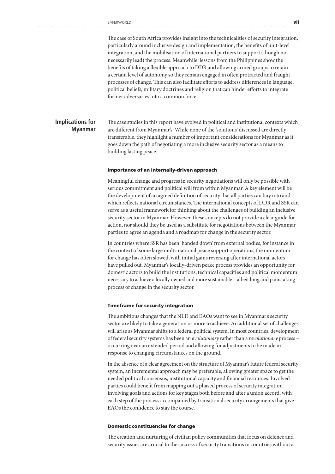The case of South Africa provides insight into the technicalities of security integration, particularly around inclusive design and implementation, the benefits of unit-level integration, and the mobilisation of international partners to support (though not necessarily lead) the process. Meanwhile, lessons from the Philippines show the benefits of taking a flexible approach to DDR and allowing armed groups to retain a certain level of autonomy so they remain engaged in often protracted and fraught processes of change. This can also facilitate efforts to address differences in language, political beliefs, military doctrines and religion that can hinder efforts to integrate former adversaries into a common force.

#### The case studies in this report have evolved in political and institutional contexts which are different from Myanmar's. While none of the 'solutions' discussed are directly transferable, they highlight a number of important considerations for Myanmar as it goes down the path of negotiating a more inclusive security sector as a means to building lasting peace. **Implications for Myanmar**

#### Importance of an internally-driven approach

Meaningful change and progress in security negotiations will only be possible with serious commitment and political will from within Myanmar. A key element will be the development of an agreed definition of security that all parties can buy into and which reflects national circumstances. The international concepts of DDR and SSR can serve as a useful framework for thinking about the challenges of building an inclusive security sector in Myanmar. However, these concepts do not provide a clear guide for action, nor should they be used as a substitute for negotiations between the Myanmar parties to agree an agenda and a roadmap for change in the security sector.

In countries where SSR has been 'handed down' from external bodies, for instance in the context of some large multi-national peace support operations, the momentum for change has often slowed, with initial gains reversing after international actors have pulled out. Myanmar's locally-driven peace process provides an opportunity for domestic actors to build the institutions, technical capacities and political momentum necessary to achieve a locally owned and more sustainable – albeit long and painstaking – process of change in the security sector.

#### Timeframe for security integration

The ambitious changes that the NLD and EAOs want to see in Myanmar's security sector are likely to take a generation or more to achieve. An additional set of challenges will arise as Myanmar shifts to a federal political system. In most countries, development of federal security systems has been an *evolutionary* rather than a *revolutionary* process – occurring over an extended period and allowing for adjustments to be made in response to changing circumstances on the ground.

In the absence of a clear agreement on the structure of Myanmar's future federal security system, an incremental approach may be preferable, allowing greater space to get the needed political consensus, institutional capacity and financial resources. Involved parties could benefit from mapping out a phased process of security integration involving goals and actions for key stages both before and after a union accord, with each step of the process accompanied by transitional security arrangements that give EAOs the confidence to stay the course.

#### Domestic constituencies for change

The creation and nurturing of civilian policy communities that focus on defence and security issues are crucial to the success of security transitions in countries without a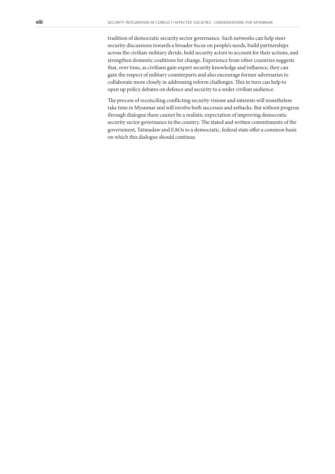tradition of democratic security sector governance. Such networks can help steer security discussions towards a broader focus on people's needs, build partnerships across the civilian-military divide, hold security actors to account for their actions, and strengthen domestic coalitions for change. Experience from other countries suggests that, over time, as civilians gain expert security knowledge and influence, they can gain the respect of military counterparts and also encourage former adversaries to collaborate more closely in addressing reform challenges. This in turn can help to open up policy debates on defence and security to a wider civilian audience.

The process of reconciling conflicting security visions and interests will nonetheless take time in Myanmar and will involve both successes and setbacks. But without progress through dialogue there cannot be a realistic expectation of improving democratic security sector governance in the country. The stated and written commitments of the government, Tatmadaw and EAOs to a democratic, federal state offer a common basis on which this dialogue should continue.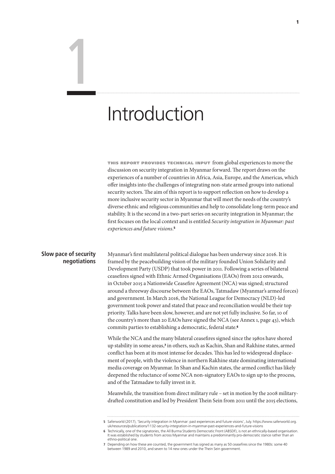### Introduction

this report provides technical input from global experiences to move the discussion on security integration in Myanmar forward. The report draws on the experiences of a number of countries in Africa, Asia, Europe, and the Americas, which offer insights into the challenges of integrating non-state armed groups into national security sectors. The aim of this report is to support reflection on how to develop a more inclusive security sector in Myanmar that will meet the needs of the country's diverse ethnic and religious communities and help to consolidate long-term peace and stability. It is the second in a two-part series on security integration in Myanmar; the first focuses on the local context and is entitled *Security integration in Myanmar: past experiences and future visions*. 5

### **Slow pace of security negotiations**

1

Myanmar's first multilateral political dialogue has been underway since 2016. It is framed by the peacebuilding vision of the military founded Union Solidarity and Development Party (USDP) that took power in 2011. Following a series of bilateral ceasefires signed with Ethnic Armed Organisations (EAOs) from 2012 onwards, in October 2015 a Nationwide Ceasefire Agreement (NCA) was signed; structured around a threeway discourse between the EAOs, Tatmadaw (Myanmar's armed forces) and government. In March 2016, the National League for Democracy (NLD)-led government took power and stated that peace and reconciliation would be their top priority. Talks have been slow, however, and are not yet fully inclusive. So far, 10 of the country's more than 20 EAOs have signed the NCA (see Annex 1, page 43), which commits parties to establishing a democratic, federal state.<sup>6</sup>

While the NCA and the many bilateral ceasefires signed since the 1980s have shored up stability in some areas,7 in others, such as Kachin, Shan and Rakhine states, armed conflict has been at its most intense for decades. This has led to widespread displacement of people, with the violence in northern Rakhine state dominating international media coverage on Myanmar. In Shan and Kachin states, the armed conflict has likely deepened the reluctance of some NCA non-signatory EAOs to sign up to the process, and of the Tatmadaw to fully invest in it.

Meanwhile, the transition from direct military rule – set in motion by the 2008 militarydrafted constitution and led by President Thein Sein from 2011 until the 2015 elections,

**<sup>5</sup>** Saferworld (2017), 'Security integration in Myanmar: past experiences and future visions', July. https://www.saferworld.org. uk/resources/publications/1132-security-integration-in-myanmar-past-experiences-and-future-visions

**<sup>6</sup>** Technically, one of the signatories, the All Burma Students Democratic Front (ABSDF), is not an ethnically-based organisation. It was established by students from across Myanmar and maintains a predominantly pro-democratic stance rather than an ethno-political one.

**<sup>7</sup>** Depending on how these are counted, the government has signed as many as 50 ceasefires since the 1980s; some 40 between 1989 and 2010, and seven to 14 new ones under the Thein Sein government.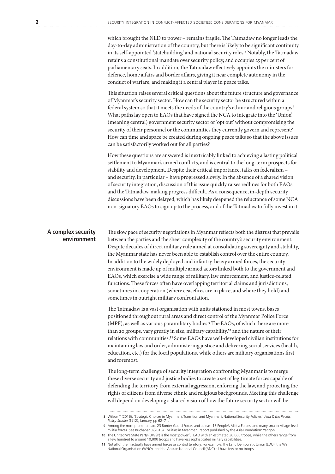which brought the NLD to power – remains fragile. The Tatmadaw no longer leads the day-to-day administration of the country, but there is likely to be significant continuity in its self-appointed 'statebuilding' and national security roles.8 Notably, the Tatmadaw retains a constitutional mandate over security policy, and occupies 25 per cent of parliamentary seats. In addition, the Tatmadaw effectively appoints the ministers for defence, home affairs and border affairs, giving it near complete autonomy in the conduct of warfare, and making it a central player in peace talks.

This situation raises several critical questions about the future structure and governance of Myanmar's security sector. How can the security sector be structured within a federal system so that it meets the needs of the country's ethnic and religious groups? What paths lay open to EAOs that have signed the NCA to integrate into the 'Union' (meaning central) government security sector or 'opt out' without compromising the security of their personnel or the communities they currently govern and represent? How can time and space be created during ongoing peace talks so that the above issues can be satisfactorily worked out for all parties?

How these questions are answered is inextricably linked to achieving a lasting political settlement to Myanmar's armed conflicts, and is central to the long-term prospects for stability and development. Despite their critical importance, talks on federalism – and security, in particular – have progressed slowly. In the absence of a shared vision of security integration, discussion of this issue quickly raises redlines for both EAOs and the Tatmadaw, making progress difficult. As a consequence, in-depth security discussions have been delayed, which has likely deepened the reluctance of some NCA non-signatory EAOs to sign up to the process, and of the Tatmadaw to fully invest in it.

### **A complex security environment**

The slow pace of security negotiations in Myanmar reflects both the distrust that prevails between the parties and the sheer complexity of the country's security environment. Despite decades of direct military rule aimed at consolidating sovereignty and stability, the Myanmar state has never been able to establish control over the entire country. In addition to the widely deployed and infantry-heavy armed forces, the security environment is made up of multiple armed actors linked both to the government and EAOs, which exercise a wide range of military, law enforcement, and justice-related functions. These forces often have overlapping territorial claims and jurisdictions, sometimes in cooperation (where ceasefires are in place, and where they hold) and sometimes in outright military confrontation.

The Tatmadaw is a vast organisation with units stationed in most towns, bases positioned throughout rural areas and direct control of the Myanmar Police Force (MPF), as well as various paramilitary bodies.9 The EAOs, of which there are more than 20 groups, vary greatly in size, military capability,10 and the nature of their relations with communities.11 Some EAOs have well-developed civilian institutions for maintaining law and order, administering justice and delivering social services (health, education, etc.) for the local populations, while others are military organisations first and foremost.

The long-term challenge of security integration confronting Myanmar is to merge these diverse security and justice bodies to create a set of legitimate forces capable of defending the territory from external aggression, enforcing the law, and protecting the rights of citizens from diverse ethnic and religious backgrounds. Meeting this challenge will depend on developing a shared vision of how the future security sector will be

**<sup>8</sup>** Wilson T (2016), 'Strategic Choices in Myanmar's Transition and Myanmar's National Security Policies', *Asia & the Pacific Policy Studies* 3 (12), January, pp 62–71.

**<sup>9</sup>** Among the most prominent are 23 Border Guard Forces and at least 15 People's Militia Forces, and many smaller village-level militia forces. See Buchanan J (2016), 'Militias in Myanmar', report published by the Asia Foundation: Yangon.

**<sup>10</sup>** The United Wa State Party (UWSP) is the most powerful EAO with an estimated 30,000 troops, while the others range from a few hundred to around 10,000 troops and have less sophisticated military capabilities.

**<sup>11</sup>** Not all of them actually have armed forces or control territory. For example, the Lahu Democratic Union (LDU), the Wa National Organisation (WNO), and the Arakan National Council (ANC) all have few or no troops.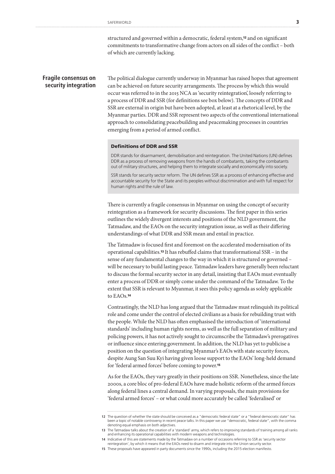structured and governed within a democratic, federal system,<sup>12</sup> and on significant commitments to transformative change from actors on all sides of the conflict – both of which are currently lacking.

### **Fragile consensus on security integration**

The political dialogue currently underway in Myanmar has raised hopes that agreement can be achieved on future security arrangements. The process by which this would occur was referred to in the 2015 NCA as 'security reintegration', loosely referring to a process of DDR and SSR (for definitions see box below). The concepts of DDR and SSR are external in origin but have been adopted, at least at a rhetorical level, by the Myanmar parties. DDR and SSR represent two aspects of the conventional international approach to consolidating peacebuilding and peacemaking processes in countries emerging from a period of armed conflict.

### Definitions of DDR and SSR

DDR stands for disarmament, demobilisation and reintegration. The United Nations (UN) defines DDR as a process of removing weapons from the hands of combatants, taking the combatants out of military structures, and helping them to integrate socially and economically into society.

SSR stands for security sector reform. The UN defines SSR as a process of enhancing effective and accountable security for the State and its peoples without discrimination and with full respect for human rights and the rule of law.

There is currently a fragile consensus in Myanmar on using the concept of security reintegration as a framework for security discussions. The first paper in this series outlines the widely divergent interests and positions of the NLD government, the Tatmadaw, and the EAOs on the security integration issue, as well as their differing understandings of what DDR and SSR mean and entail in practice.

The Tatmadaw is focused first and foremost on the accelerated modernisation of its operational capabilities.13 It has rebuffed claims that transformational SSR – in the sense of any fundamental changes to the way in which it is structured or governed – will be necessary to build lasting peace. Tatmadaw leaders have generally been reluctant to discuss the formal security sector in any detail, insisting that EAOs must eventually enter a process of DDR or simply come under the command of the Tatmadaw. To the extent that SSR is relevant to Myanmar, it sees this policy agenda as solely applicable to EAOs.<sup>14</sup>

Contrastingly, the NLD has long argued that the Tatmadaw must relinquish its political role and come under the control of elected civilians as a basis for rebuilding trust with the people. While the NLD has often emphasised the introduction of 'international standards' including human rights norms, as well as the full separation of military and policing powers, it has not actively sought to circumscribe the Tatmadaw's prerogatives or influence since entering government. In addition, the NLD has yet to publicise a position on the question of integrating Myanmar's EAOs with state security forces, despite Aung San Suu Kyi having given loose support to the EAOs' long-held demand for 'federal armed forces' before coming to power.<sup>15</sup>

As for the EAOs, they vary greatly in their positions on SSR. Nonetheless, since the late 2000s, a core bloc of pro-federal EAOs have made holistic reform of the armed forces along federal lines a central demand. In varying proposals, the main provisions for 'federal armed forces' – or what could more accurately be called 'federalised' or

**<sup>12</sup>** The question of whether the state should be conceived as a "democratic federal state" or a "federal democratic state" has been a topic of notable controversy in recent peace talks. In this paper we use "democratic, federal state", with the comma denoting equal emphasis on both adjectives.

**<sup>13</sup>** The Tatmadaw talks about the creation of a 'standard' army, which refers to improving standards of training among all ranks and enhancing its operational capabilities with modern weapons and technologies.

**<sup>14</sup>** Indicative of this are statements made by the Tatmadaw on a number of occasions referring to SSR as 'security sector reintegration', by which it means that the EAOs need to disarm and integrate into the Union security sector.

**<sup>15</sup>** These proposals have appeared in party documents since the 1990s, including the 2015 election manifesto.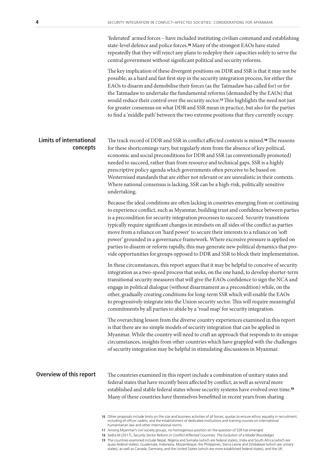'federated' armed forces – have included instituting civilian command and establishing state-level defence and police forces.16 Many of the strongest EAOs have stated repeatedly that they will reject any plans to redeploy their capacities solely to serve the central government without significant political and security reforms.

The key implication of these divergent positions on DDR and SSR is that it may not be possible, as a hard and fast first step in the security integration process, for either the EAOs to disarm and demobilise their forces (as the Tatmadaw has called for) or for the Tatmadaw to undertake the fundamental reforms (demanded by the EAOs) that would reduce their control over the security sector.<sup>17</sup> This highlights the need not just for greater consensus on what DDR and SSR mean in practice, but also for the parties to find a 'middle path' between the two extreme positions that they currently occupy.

The track record of DDR and SSR in conflict affected contexts is mixed.18 The reasons for these shortcomings vary, but regularly stem from the absence of key political, economic and social preconditions for DDR and SSR (as conventionally promoted) needed to succeed, rather than from resource and technical gaps. SSR is a highly prescriptive policy agenda which governments often perceive to be based on Westernised standards that are either not relevant or are unrealistic in their contexts. Where national consensus is lacking, SSR can be a high-risk, politically sensitive undertaking. **Limits of international concepts**

> Because the ideal conditions are often lacking in countries emerging from or continuing to experience conflict, such as Myanmar, building trust and confidence between parties is a precondition for security integration processes to succeed. Security transitions typically require significant changes in mindsets on all sides of the conflict as parties move from a reliance on 'hard power' to secure their interests to a reliance on 'soft power' grounded in a governance framework. Where excessive pressure is applied on parties to disarm or reform rapidly, this may generate new political dynamics that provide opportunities for groups opposed to DDR and SSR to block their implementation.

> In these circumstances, this report argues that it may be helpful to conceive of security integration as a two-speed process that seeks, on the one hand, to develop shorter-term transitional security measures that will give the EAOs confidence to sign the NCA and engage in political dialogue (without disarmament as a precondition) while, on the other, gradually creating conditions for long-term SSR which will enable the EAOs to progressively integrate into the Union security sector. This will require meaningful commitments by all parties to abide by a 'road map' for security integration.

> The overarching lesson from the diverse country experiences examined in this report is that there are no simple models of security integration that can be applied in Myanmar. While the country will need to craft an approach that responds to its unique circumstances, insights from other countries which have grappled with the challenges of security integration may be helpful in stimulating discussions in Myanmar.

### **Overview of this report**

The countries examined in this report include a combination of unitary states and federal states that have recently been affected by conflict, as well as several more established and stable federal states whose security systems have evolved over time.<sup>19</sup> Many of these countries have themselves benefitted in recent years from sharing

**<sup>16</sup>** Other proposals include limits on the size and business activities of all forces; quotas to ensure ethnic equality in recruitment, including of officer cadets; and the establishment of dedicated institutions and training courses on international humanitarian law and other international norms.

**<sup>17</sup>** Among Myanmar's civil society groups, no homogenous position on the question of SSR has emerged.

**<sup>18</sup>** Sedra M (2017), *Security Sector Reform in Conflict-Affected Countries: The Evolution of a Model* (Routledge).

**<sup>19</sup>** The countries examined include Nepal, Nigeria and Somalia (which are federal states), India and South Africa (which are quasi-federal states), Guatemala, Indonesia, Mozambique, the Philippines, Sierra Leone and Zimbabwe (which are unitary states), as well as Canada, Germany, and the United States (which are more established federal states), and the UK.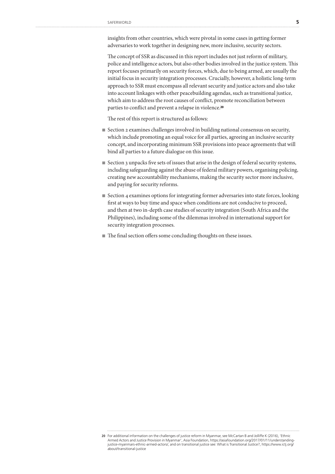insights from other countries, which were pivotal in some cases in getting former adversaries to work together in designing new, more inclusive, security sectors.

The concept of SSR as discussed in this report includes not just reform of military, police and intelligence actors, but also other bodies involved in the justice system. This report focuses primarily on security forces, which, due to being armed, are usually the initial focus in security integration processes. Crucially, however, a holistic long-term approach to SSR must encompass all relevant security and justice actors and also take into account linkages with other peacebuilding agendas, such as transitional justice, which aim to address the root causes of conflict, promote reconciliation between parties to conflict and prevent a relapse in violence.<sup>20</sup>

The rest of this report is structured as follows:

- Section 2 examines challenges involved in building national consensus on security, which include promoting an equal voice for all parties, agreeing an inclusive security concept, and incorporating minimum SSR provisions into peace agreements that will bind all parties to a future dialogue on this issue.
- Section 3 unpacks five sets of issues that arise in the design of federal security systems, including safeguarding against the abuse of federal military powers, organising policing, creating new accountability mechanisms, making the security sector more inclusive, and paying for security reforms.
- Section 4 examines options for integrating former adversaries into state forces, looking first at ways to buy time and space when conditions are not conducive to proceed, and then at two in-depth case studies of security integration (South Africa and the Philippines), including some of the dilemmas involved in international support for security integration processes.
- The final section offers some concluding thoughts on these issues.

**<sup>20</sup>** For additional information on the challenges of justice reform in Myanmar, see McCartan B and Jolliffe K (2016), 'Ethnic Armed Actors and Justice Provision in Myanmar', Asia Foundation, https://asiafoundation.org/2017/01/11/understandingjustice-myanmars-ethnic-armed-actors/, and on transitional justice see: What is Transitional Justice?, https://www.ictj.org/ about/transitional-justice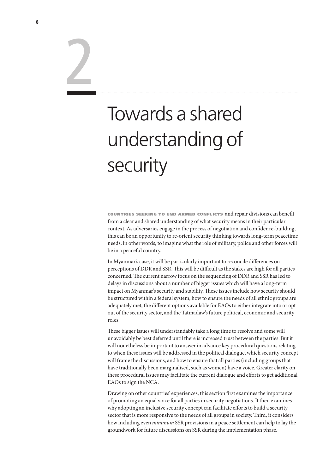# Towards a shared understanding of security

countries seeking to end armed conflicts and repair divisions can benefit from a clear and shared understanding of what security means in their particular context. As adversaries engage in the process of negotiation and confidence-building, this can be an opportunity to re-orient security thinking towards long-term peacetime needs; in other words, to imagine what the role of military, police and other forces will be in a peaceful country.

In Myanmar's case, it will be particularly important to reconcile differences on perceptions of DDR and SSR. This will be difficult as the stakes are high for all parties concerned. The current narrow focus on the sequencing of DDR and SSR has led to delays in discussions about a number of bigger issues which will have a long-term impact on Myanmar's security and stability. These issues include how security should be structured within a federal system, how to ensure the needs of all ethnic groups are adequately met, the different options available for EAOs to either integrate into or opt out of the security sector, and the Tatmadaw's future political, economic and security roles.

These bigger issues will understandably take a long time to resolve and some will unavoidably be best deferred until there is increased trust between the parties. But it will nonetheless be important to answer in advance key procedural questions relating to when these issues will be addressed in the political dialogue, which security concept will frame the discussions, and how to ensure that all parties (including groups that have traditionally been marginalised, such as women) have a voice. Greater clarity on these procedural issues may facilitate the current dialogue and efforts to get additional EAOs to sign the NCA.

Drawing on other countries' experiences, this section first examines the importance of promoting an equal voice for all parties in security negotiations. It then examines why adopting an inclusive security concept can facilitate efforts to build a security sector that is more responsive to the needs of all groups in society. Third, it considers how including even *minimum* SSR provisions in a peace settlement can help to lay the groundwork for future discussions on SSR during the implementation phase.

2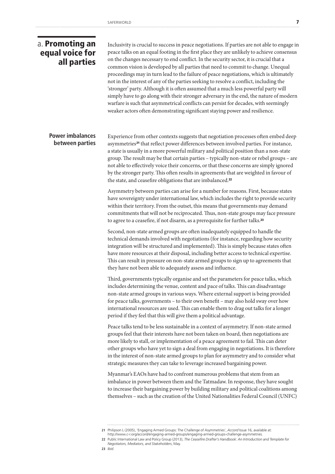### a. Promoting an equal voice for all parties

Inclusivity is crucial to success in peace negotiations. If parties are not able to engage in peace talks on an equal footing in the first place they are unlikely to achieve consensus on the changes necessary to end conflict. In the security sector, it is crucial that a common vision is developed by all parties that need to commit to change. Unequal proceedings may in turn lead to the failure of peace negotiations, which is ultimately not in the interest of any of the parties seeking to resolve a conflict, including the 'stronger' party. Although it is often assumed that a much less powerful party will simply have to go along with their stronger adversary in the end, the nature of modern warfare is such that asymmetrical conflicts can persist for decades, with seemingly weaker actors often demonstrating significant staying power and resilience.

### **Power imbalances between parties**

Experience from other contexts suggests that negotiation processes often embed deep asymmetries<sup>21</sup> that reflect power differences between involved parties. For instance, a state is usually in a more powerful military and political position than a non-state group. The result may be that certain parties – typically non-state or rebel groups – are not able to effectively voice their concerns, or that these concerns are simply ignored by the stronger party. This often results in agreements that are weighted in favour of the state, and ceasefire obligations that are imbalanced.<sup>22</sup>

Asymmetry between parties can arise for a number for reasons. First, because states have sovereignty under international law, which includes the right to provide security within their territory. From the outset, this means that governments may demand commitments that will not be reciprocated. Thus, non-state groups may face pressure to agree to a ceasefire, if not disarm, as a prerequisite for further talks.<sup>23</sup>

Second, non-state armed groups are often inadequately equipped to handle the technical demands involved with negotiations (for instance, regarding how security integration will be structured and implemented). This is simply because states often have more resources at their disposal, including better access to technical expertise. This can result in pressure on non-state armed groups to sign up to agreements that they have not been able to adequately assess and influence.

Third, governments typically organise and set the parameters for peace talks, which includes determining the venue, content and pace of talks. This can disadvantage non-state armed groups in various ways. Where external support is being provided for peace talks, governments – to their own benefit – may also hold sway over how international resources are used. This can enable them to drag out talks for a longer period if they feel that this will give them a political advantage.

Peace talks tend to be less sustainable in a context of asymmetry. If non-state armed groups feel that their interests have not been taken on board, then negotiations are more likely to stall, or implementation of a peace agreement to fail. This can deter other groups who have yet to sign a deal from engaging in negotiations. It is therefore in the interest of non-state armed groups to plan for asymmetry and to consider what strategic measures they can take to leverage increased bargaining power.

Myanmar's EAOs have had to confront numerous problems that stem from an imbalance in power between them and the Tatmadaw. In response, they have sought to increase their bargaining power by building military and political coalitions among themselves – such as the creation of the United Nationalities Federal Council (UNFC)

**<sup>21</sup>** Philipson L (2005), 'Engaging Armed Groups: The Challenge of Asymmetries', *Accord* Issue 16, available at: http://www.c-r.org/accord/engaging-armed-groups/engaging-armed-groups-challenge-asymmetries.

**<sup>22</sup>** Public International Law and Policy Group (2013), *The Ceasefire Drafter's Handbook: An Introduction and Template for Negotiators, Mediators, and Stakeholders*, May.

**<sup>23</sup>** *Ibid*.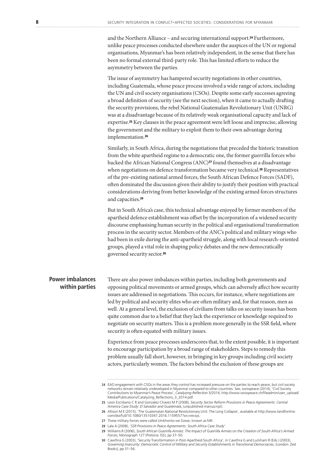and the Northern Alliance – and securing international support.24 Furthermore, unlike peace processes conducted elsewhere under the auspices of the UN or regional organisations, Myanmar's has been relatively independent, in the sense that there has been no formal external third-party role. This has limited efforts to reduce the asymmetry between the parties.

The issue of asymmetry has hampered security negotiations in other countries, including Guatemala, whose peace process involved a wide range of actors, including the UN and civil society organisations (CSOs). Despite some early successes agreeing a broad definition of security (see the next section), when it came to actually drafting the security provisions, the rebel National Guatemalan Revolutionary Unit (UNRG) was at a disadvantage because of its relatively weak organisational capacity and lack of expertise.25 Key clauses in the peace agreement were left loose and imprecise, allowing the government and the military to exploit them to their own advantage during implementation.<sup>26</sup>

Similarly, in South Africa, during the negotiations that preceded the historic transition from the white apartheid regime to a democratic one, the former guerrilla forces who backed the African National Congress (ANC)<sup>27</sup> found themselves at a disadvantage when negotiations on defence transformation became very technical.<sup>28</sup> Representatives of the pre-existing national armed forces, the South African Defence Forces (SADF), often dominated the discussion given their ability to justify their position with practical considerations deriving from better knowledge of the existing armed forces structures and capacities.<sup>29</sup>

But in South Africa's case, this technical advantage enjoyed by former members of the apartheid defence establishment was offset by the incorporation of a widened security discourse emphasising human security in the political and organisational transformation process in the security sector. Members of the ANC's political and military wings who had been in exile during the anti-apartheid struggle, along with local research-oriented groups, played a vital role in shaping policy debates and the new democratically governed security sector.<sup>30</sup>

### **Power imbalances within parties**

There are also power imbalances within parties, including both governments and opposing political movements or armed groups, which can adversely affect how security issues are addressed in negotiations. This occurs, for instance, where negotiations are led by political and security elites who are often military and, for that reason, men as well. At a general level, the exclusion of civilians from talks on security issues has been quite common due to a belief that they lack the experience or knowledge required to negotiate on security matters. This is a problem more generally in the SSR field, where security is often equated with military issues.

Experience from peace processes underscores that, to the extent possible, it is important to encourage participation by a broad range of stakeholders. Steps to remedy this problem usually fall short, however, in bringing in key groups including civil society actors, particularly women. The factors behind the exclusion of these groups are

**<sup>24</sup>** EAO engagement with CSOs in the areas they control has increased pressure on the parties to reach peace, but civil society networks remain relatively undeveloped in Myanmar compared to other countries. See, swisspeace (2014), 'Civil Society Contributions to Myanmar's Peace Process', *Catalyzing Reflection 3*/2014, http://www.swisspeace.ch/fileadmin/user\_upload/<br>Media/Publications/Catalyzing\_Reflections\_3\_2014.pdf.

**<sup>25</sup>** Leon Escribano C R and Gonzalez Chavez M P (2008), *Security Sector Reform Provisions in Peace Agreements: Central America Case Study: El Salvador and Guatemala*, (unpublished manuscript).

**<sup>26</sup>** Allison M E (2015), 'The Guatemalan National Revolutionary Unit: The Long Collapse', available at http://www.tandfonline. com/doi/full/10.1080/13510347.2016.1159557?src=recsys.

**<sup>27</sup>** These military forces were called Umkhonto we Sizwe, known as MK.

**<sup>28</sup>** Lala A (2008), '*SSR Provisions in Peace Agreements: South Africa Case Study*'.

**<sup>29</sup>** Williams R (2006), *South African Guerrilla Armies: The Impact of Guerrilla Armies on the Creation of South Africa's Armed Forces*, Monograph 127 (Pretoria: ISS), pp 37–50.

**<sup>30</sup>** Cawthra G (2003), 'Security Transformation in Post-Apartheid South Africa', in Cawthra G and Luckham R (Eds.) (2003), *Governing Insecurity: Democratic Control of Military and Security Establishments in Transitional Democracies*, (London: Zed Books), pp 31–56.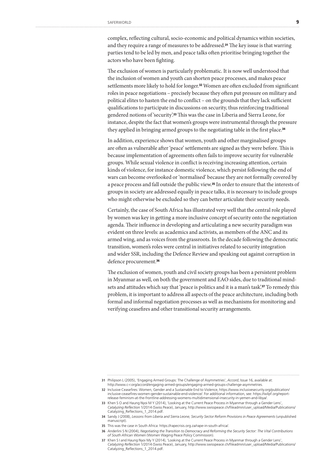complex, reflecting cultural, socio-economic and political dynamics within societies, and they require a range of measures to be addressed.<sup>31</sup> The key issue is that warring parties tend to be led by men, and peace talks often prioritise bringing together the actors who have been fighting.

The exclusion of women is particularly problematic. It is now well understood that the inclusion of women and youth can shorten peace processes, and makes peace settlements more likely to hold for longer.32 Women are often excluded from significant roles in peace negotiations – precisely because they often put pressure on military and political elites to hasten the end to conflict – on the grounds that they lack sufficient qualifications to participate in discussions on security, thus reinforcing traditional gendered notions of 'security'.33 This was the case in Liberia and Sierra Leone, for instance, despite the fact that women's groups were instrumental through the pressure they applied in bringing armed groups to the negotiating table in the first place.<sup>34</sup>

In addition, experience shows that women, youth and other marginalised groups are often as vulnerable after 'peace' settlements are signed as they were before. This is because implementation of agreements often fails to improve security for vulnerable groups. While sexual violence in conflict is receiving increasing attention, certain kinds of violence, for instance domestic violence, which persist following the end of wars can become overlooked or 'normalised' because they are not formally covered by a peace process and fall outside the public view.35 In order to ensure that the interests of groups in society are addressed equally in peace talks, it is necessary to include groups who might otherwise be excluded so they can better articulate their security needs.

Certainly, the case of South Africa has illustrated very well that the central role played by women was key in getting a more inclusive concept of security onto the negotiation agenda. Their influence in developing and articulating a new security paradigm was evident on three levels: as academics and activists, as members of the ANC and its armed wing, and as voices from the grassroots. In the decade following the democratic transition, women's roles were central in initiatives related to security integration and wider SSR, including the Defence Review and speaking out against corruption in defence procurement.<sup>36</sup>

The exclusion of women, youth and civil society groups has been a persistent problem in Myanmar as well, on both the government and EAO sides, due to traditional mindsets and attitudes which say that 'peace is politics and it is a man's task'.<sup>37</sup> To remedy this problem, it is important to address all aspects of the peace architecture, including both formal and informal negotiation processes as well as mechanisms for monitoring and verifying ceasefires and other transitional security arrangements.

**<sup>31</sup>** Philipson L (2005), 'Engaging Armed Groups: The Challenge of Asymmetries', *Accord*, Issue 16, available at: http://www.c-r.org/accord/engaging-armed-groups/engaging-armed-groups-challenge-asymmetries.

**<sup>32</sup>** Inclusive Ceasefires: Women, Gender and a Sustainable End to Violence, https://www.inclusivesecurity.org/publication/ inclusive-ceasefires-women-gender-sustainable-end-violence/. For additional information, see: https://wilpf.org/reportrelease-feminism-at-the-frontline-addressing-womens-multidimensional-insecurity-in-yemen-and-libya/.

**<sup>33</sup>** Khen S O and Haung Nyoi M Y (2014), 'Looking at the Current Peace Process in Myanmar through a Gender Lens', *Catalyzing Reflection* 1/2014 (Swiss Peace), January, http://www.swisspeace.ch/fileadmin/user\_upload/Media/Publications/ Catalyzing\_Reflections\_1\_2014.pdf.

**<sup>34</sup>** Sandy J (2008), *Lessons from Liberia and Sierra Leone, Security Sector Reform Provisions in Peace Agreements* (unpublished manuscript).

**<sup>35</sup>** This was the case in South Africa: https://rapecrisis.org.za/rape-in-south-africa/.

**<sup>36</sup>** Anderlini S N (2004), *Negotiating the Transition to Democracy and Reforming the Security Sector: The Vital Contributions of South African Women* (Women Waging Peace Policy Commission).

**<sup>37</sup>** Khen S I and Haung Nyoi My Y (2014), 'Looking at the Current Peace Process in Myanmar through a Gender Lens', *Catalyzing Reflection* 1/2014 (Swiss Peace), January, http://www.swisspeace.ch/fileadmin/user\_upload/Media/Publications/ Catalyzing\_Reflections\_1\_2014.pdf.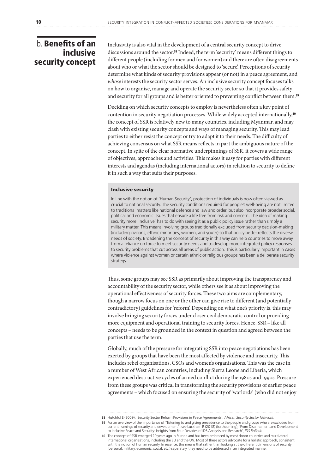### b. Benefits of an inclusive security concept

Inclusivity is also vital in the development of a central security concept to drive discussions around the sector.38 Indeed, the term 'security' means different things to different people (including for men and for women) and there are often disagreements about who or what the sector should be designed to 'secure'. Perceptions of security determine what kinds of security provisions appear (or not) in a peace agreement, and *whose* interests the security sector serves. An inclusive security concept focuses talks on how to organise, manage and operate the security sector so that it provides safety and security for all groups and is better oriented to preventing conflict between them.<sup>39</sup>

Deciding on which security concepts to employ is nevertheless often a key point of contention in security negotiation processes. While widely accepted internationally,<sup>40</sup> the concept of SSR is relatively new to many countries, including Myanmar, and may clash with existing security concepts and ways of managing security. This may lead parties to either resist the concept or try to adapt it to their needs. The difficulty of achieving consensus on what SSR means reflects in part the ambiguous nature of the concept. In spite of the clear normative underpinnings of SSR, it covers a wide range of objectives, approaches and activities. This makes it easy for parties with different interests and agendas (including international actors) in relation to security to define it in such a way that suits their purposes.

### Inclusive security

In line with the notion of 'Human Security', protection of individuals is now often viewed as crucial to national security. The security conditions required for people's well-being are not limited to traditional matters like national defence and law and order, but also incorporate broader social, political and economic issues that ensure a life free from risk and concern. The idea of making security more 'inclusive' has to do with seeing it as a public policy issue rather than simply a military matter. This means involving groups traditionally excluded from security decision-making (including civilians, ethnic minorities, women, and youth) so that policy better reflects the diverse needs of society. Broadening the concept of security in this way can help countries to move away from a reliance on force to meet security needs and to develop more integrated policy responses to security problems that cut across all areas of public action. This is particularly important in cases where violence against women or certain ethnic or religious groups has been a deliberate security strategy.

Thus, some groups may see SSR as primarily about improving the transparency and accountability of the security sector, while others see it as about improving the operational effectiveness of security forces. These two aims are complementary, though a narrow focus on one or the other can give rise to different (and potentially contradictory) guidelines for 'reform'. Depending on what one's priority is, this may involve bringing security forces under closer civil democratic control or providing more equipment and operational training to security forces. Hence, SSR – like all concepts – needs to be grounded in the context in question and agreed between the parties that use the term.

Globally, much of the pressure for integrating SSR into peace negotiations has been exerted by groups that have been the most affected by violence and insecurity. This includes rebel organisations, CSOs and women's organisations. This was the case in a number of West African countries, including Sierra Leone and Liberia, which experienced destructive cycles of armed conflict during the 1980s and 1990s. Pressure from these groups was critical in transforming the security provisions of earlier peace agreements – which focused on ensuring the security of 'warlords' (who did not enjoy

**<sup>38</sup>** Hutchful E (2009), 'Security Sector Reform Provisions in Peace Agreements', *African Security Sector Network*.

<sup>39</sup> For an overview of the importance of "listening to and giving precedence to the people and groups who are excluded from<br>current framings of security and development", see Luckham R (2018) (forthcoming); 'From Disarmamen to Inclusive Peace and Security: Insights from Four Decades of IDS Analysis and Research', *IDS Bulletin*.

**<sup>40</sup>** The concept of SSR emerged 20 years ago in Europe and has been embraced by most donor countries and multilateral international organisations, including the EU and the UN. Most of these actors advocate for a holistic approach, consistent<br>with the notion of human security. In essence, this means that rather than looking at the differen (personal, military, economic, social, etc.) separately, they need to be addressed in an integrated manner.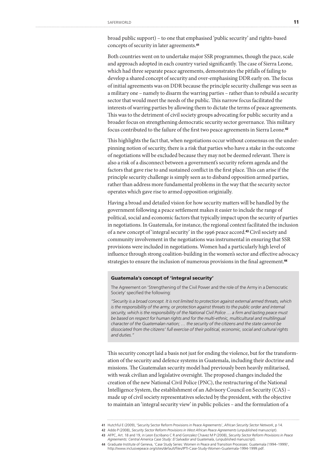broad public support) – to one that emphasised 'public security' and rights-based concepts of security in later agreements.<sup>41</sup>

Both countries went on to undertake major SSR programmes, though the pace, scale and approach adopted in each country varied significantly. The case of Sierra Leone, which had three separate peace agreements, demonstrates the pitfalls of failing to develop a shared concept of security and over-emphasising DDR early on. The focus of initial agreements was on DDR because the principle security challenge was seen as a military one – namely to disarm the warring parties – rather than to rebuild a security sector that would meet the needs of the public. This narrow focus facilitated the interests of warring parties by allowing them to dictate the terms of peace agreements. This was to the detriment of civil society groups advocating for public security and a broader focus on strengthening democratic security sector governance. This military focus contributed to the failure of the first two peace agreements in Sierra Leone.<sup>42</sup>

This highlights the fact that, when negotiations occur without consensus on the underpinning notion of security, there is a risk that parties who have a stake in the outcome of negotiations will be excluded because they may not be deemed relevant. There is also a risk of a disconnect between a government's security reform agenda and the factors that gave rise to and sustained conflict in the first place. This can arise if the principle security challenge is simply seen as to disband opposition armed parties, rather than address more fundamental problems in the way that the security sector operates which gave rise to armed opposition originially.

Having a broad and detailed vision for how security matters will be handled by the government following a peace settlement makes it easier to include the range of political, social and economic factors that typically impact upon the security of parties in negotiations. In Guatemala, for instance, the regional context facilitated the inclusion of a new concept of 'integral security' in the 1996 peace accord.43 Civil society and community involvement in the negotiations was instrumental in ensuring that SSR provisions were included in negotiations. Women had a particularly high level of influence through strong coalition-building in the women's sector and effective advocacy strategies to ensure the inclusion of numerous provisions in the final agreement.<sup>44</sup>

### Guatemala's concept of 'integral security'

The Agreement on 'Strengthening of the Civil Power and the role of the Army in a Democratic Society' specified the following:

*"Security is a broad concept. It is not limited to protection against external armed threats, which is the responsibility of the army, or protection against threats to the public order and internal security, which is the responsibility of the National Civil Police … a firm and lasting peace must be based on respect for human rights and for the multi-ethnic, multicultural and multilingual character of the Guatemalan nation; … the security of the citizens and the state cannot be dissociated from the citizens' full exercise of their political, economic, social and cultural rights and duties."*

This security concept laid a basis not just for ending the violence, but for the transformation of the security and defence systems in Guatemala, including their doctrine and missions. The Guatemalan security model had previously been heavily militarised, with weak civilian and legislative oversight. The proposed changes included the creation of the new National Civil Police (PNC), the restructuring of the National Intelligence System, the establishment of an Advisory Council on Security (CAS) – made up of civil society representatives selected by the president, with the objective to maintain an 'integral security view' in public policies – and the formulation of a

**<sup>41</sup>** Hutchful E (2009), 'Security Sector Reform Provisions in Peace Agreements', *African Security Sector Network*, p 14.

**<sup>42</sup>** Addo P (2008), *Security Sector Reform Provisions in West African Peace Agreements* (unpublished manuscript).

**<sup>43</sup>** AFPC, Art. 18 and 19, in Leon Escribano C R and Gonzalez Chavez M P (2008), *Security Sector Reform Provisions in Peace* 

*Agreements: Central America Case Study: El Salvador and Guatemala*, (unpublished manuscript).

**<sup>44</sup>** Graduate Institute of Geneva, 'Case Study Series: Women in Peace and Transition Processes: Guatemala (1994–1999)', http://www.inclusivepeace.org/sites/default/files/IPTI-Case-Study-Women-Guatemala-1994-1999.pdf.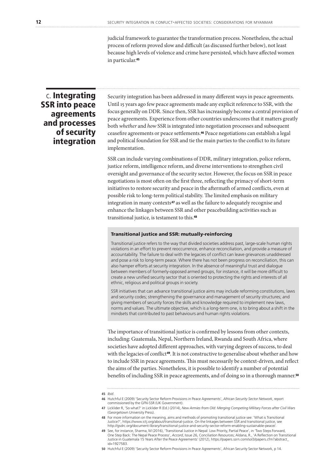judicial framework to guarantee the transformation process. Nonetheless, the actual process of reform proved slow and difficult (as discussed further below), not least because high levels of violence and crime have persisted, which have affected women in particular.<sup>45</sup>

### c. Integrating SSR into peace agreements and processes of security integration

Security integration has been addressed in many different ways in peace agreements. Until 15 years ago few peace agreements made any explicit reference to SSR, with the focus generally on DDR. Since then, SSR has increasingly become a central provision of peace agreements. Experience from other countries underscores that it matters greatly both *whether* and *how* SSR is integrated into negotiation processes and subsequent ceasefire agreements or peace settlements.46 Peace negotiations can establish a legal and political foundation for SSR and tie the main parties to the conflict to its future implementation.

SSR can include varying combinations of DDR, military integration, police reform, justice reform, intelligence reform, and diverse interventions to strengthen civil oversight and governance of the security sector. However, the focus on SSR in peace negotiations is most often on the first three, reflecting the primacy of short-term initiatives to restore security and peace in the aftermath of armed conflicts, even at possible risk to long-term political stability. The limited emphasis on military integration in many contexts<sup>47</sup> as well as the failure to adequately recognise and enhance the linkages between SSR and other peacebuilding activities such as transitional justice, is testament to this.<sup>48</sup>

### Transitional justice and SSR: mutually-reinforcing

Transitional justice refers to the way that divided societies address past, large-scale human rights violations in an effort to prevent reoccurrence, enhance reconciliation, and provide a measure of accountability. The failure to deal with the legacies of conflict can leave grievances unaddressed and pose a risk to long-term peace. Where there has not been progress on reconciliation, this can also hamper efforts at security integration. In the absence of meaningful trust and dialogue between members of formerly-opposed armed groups, for instance, it will be more difficult to create a new unified security sector that is oriented to protecting the rights and interests of all ethnic, religious and political groups in society.

SSR initiatives that can advance transitional justice aims may include reforming constitutions, laws and security codes; strengthening the governance and management of security structures; and giving members of security forces the skills and knowledge required to implement new laws, norms and values. The ultimate objective, which is a long-term one, is to bring about a shift in the mindsets that contributed to past behaviours and human rights violations.

The importance of transitional justice is confirmed by lessons from other contexts, including: Guatemala, Nepal, Northern Ireland, Rwanda and South Africa, where societies have adopted different approaches, with varying degrees of success, to deal with the legacies of conflict<sup>49</sup>. It is not constructive to generalise about whether and how to include SSR in peace agreements. This must necessarily be context-driven, and reflect the aims of the parties. Nonetheless, it is possible to identify a number of potential benefits of including SSR in peace agreements, and of doing so in a thorough manner.<sup>50</sup>

**50** Hutchful E (2009) 'Security Sector Reform Provisions in Peace Agreements', African Security Sector Network, p 14.

**<sup>45</sup>** *Ibid*.

**<sup>46</sup>** Hutchful E (2009) 'Security Sector Reform Provisions in Peace Agreements', *African Security Sector Network*, report commissioned by the GFN-SSR (UK Government).

**<sup>47</sup>** Licklider R, 'So what?' in Licklider R (Ed.) (2014), *New Armies from Old: Merging Competing Military Forces after Civil Wars* (Georgetown University Press).

**<sup>48</sup>** For more information on the meaning, aims and methods of promoting transitional justice see: 'What is Transitional Justice?', https://www.ictj.org/about/transitional-justice. On the linkages between SSR and transitional justice, see http://gsdrc.org/document-library/transitional-justice-and-security-sector-reform-enabling-sustainable-peace/.

**<sup>49</sup>** See, for instance, Sharma, M (2016), 'Transitional Justice in Nepal: Low Priority, Partial Peace', in 'Two Steps Forward, One Step Back: The Nepal Peace Process', *Accord*, Issue 26, Conciliation Resources; Aldana, R., 'A Reflection on Transitional Justice in Guatemala 15 Years After the Peace Agreements' (2012), https://papers.ssrn.com/sol3/papers.cfm?abstract\_ id=1927583.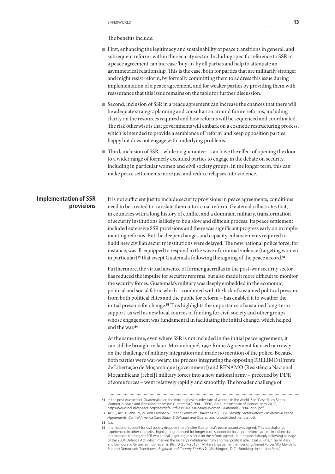The benefits include:

- First, enhancing the legitimacy and sustainability of peace transitions in general, and subsequent reforms within the security sector. Including specific reference to SSR in a peace agreement can increase 'buy-in' by all parties and help to attenuate an asymmetrical relationship. This is the case, both for parties that are militarily stronger and might resist reform, by formally committing them to address this issue during implementation of a peace agreement, and for weaker parties by providing them with reassurance that this issue remains on the table for further discussion.
- Second, inclusion of SSR in a peace agreement can increase the chances that there will be adequate strategic planning and consultation around future reforms, including clarity on the resources required and how reforms will be sequenced and coordinated. The risk otherwise is that governments will embark on a cosmetic restructuring process, which is intended to provide a semblance of 'reform' and keep opposition parties happy but does not engage with underlying problems.
- Third, inclusion of SSR while no guarantee can have the effect of opening the door to a wider range of formerly excluded parties to engage in the debate on security, including in particular women and civil society groups. In the longer term, this can make peace settlements more just and reduce relapses into violence.

### **Implementation of SSR provisions**

It is not sufficient just to include security provisions in peace agreements; conditions need to be created to translate them into actual reform. Guatemala illustrates that, in countries with a long history of conflict and a dominant military, transformation of security institutions is likely to be a slow and difficult process. Its peace settlement included extensive SSR provisions and there was significant progress early on in implementing reforms. But the deeper changes and capacity enhancements required to build new civilian security institutions were delayed. The new national police force, for instance, was ill-equipped to respond to the wave of criminal violence (targeting women in particular)<sup>51</sup> that swept Guatemala following the signing of the peace accord.<sup>52</sup>

Furthermore, the virtual absence of former guerrillas in the post-war security sector has reduced the impulse for security reforms, but also made it more difficult to monitor the security forces. Guatemala's military was deeply embedded in the economic, political and social fabric which – combined with the lack of sustained political pressure from both political elites and the public for reform – has enabled it to weather the initial pressure for change.53 This highlights the importance of sustained long-term support, as well as new local sources of funding for civil society and other groups whose engagement was fundamental in facilitating the initial change, which helped end the war.<sup>54</sup>

At the same time, even where SSR is not included in the initial peace agreement, it can still be brought in later. Mozambique's 1992 Rome Agreement focused narrowly on the challenge of military integration and made no mention of the police. Because both parties were war-weary, the process integrating the opposing FRELIMO (Frente de Libertação de Moçambique [government]) and RENAMO (Resistência Nacional Moçambicana [rebel]) military forces into a new national army – preceded by DDR of some forces – went relatively rapidly and smoothly. The broader challenge of

**53** *Ibid*.

**<sup>51</sup>** In the post-war period, Guatemala had the third-highest murder rate of women in the world. See 'Case Study Series: Women in Peace and Transition Processes: Guatemala (1994–1999)', Graduate Institute of Geneva, May 2017, http://www.inclusivepeace.org/sites/default/files/IPTI-Case-Study-Women-Guatemala-1994-1999.pdf.

**<sup>52</sup>** AFPC, Art. 18 and 19, in Leon Escribano C R and Gonzalez Chavez M P (2008), *Security Sector Reform Provisions in Peace Agreements: Central America Case Study: El Salvador and Guatemala*, (unpublished manuscript).

International support for civil society dropped sharply after Guatemala's peace accord was signed. This is a challenge<br>experienced in other countries, highlighting the need for longer-term support for local 'pro-reform' ac international funding for SSR was critical in getting this issue on the reform agenda, but dropped sharply following passage of the 2004 Defence Act, which marked the military's withdrawal from a formal political role. Rizal Sukma, 'The Military<br>and Democratic Reform in Indonesia', in Blair D (Ed.) (2013), 'Military Engagement: Influencing Armed Support Democratic Transitions', *Regional and Country Studies* **2**, (Washington, D.C.: Brookings Institution Press).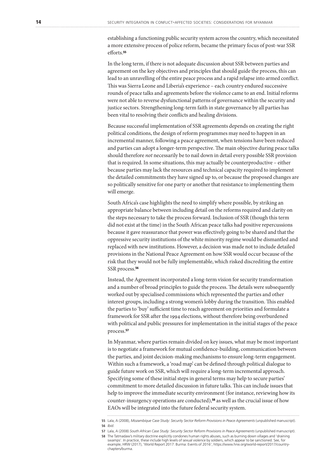establishing a functioning public security system across the country, which necessitated a more extensive process of police reform, became the primary focus of post-war SSR efforts.<sup>55</sup>

In the long term, if there is not adequate discussion about SSR between parties and agreement on the key objectives and principles that should guide the process, this can lead to an unravelling of the entire peace process and a rapid relapse into armed conflict. This was Sierra Leone and Liberia's experience – each country endured successive rounds of peace talks and agreements before the violence came to an end. Initial reforms were not able to reverse dysfunctional patterns of governance within the security and justice sectors. Strengthening long-term faith in state governance by all parties has been vital to resolving their conflicts and healing divisions.

Because successful implementation of SSR agreements depends on creating the right political conditions, the design of reform programmes may need to happen in an incremental manner, following a peace agreement, when tensions have been reduced and parties can adopt a longer-term perspective. The main objective during peace talks should therefore *not* necessarily be to nail down in detail every possible SSR provision that is required. In some situations, this may actually be counterproductive – either because parties may lack the resources and technical capacity required to implement the detailed commitments they have signed up to, or because the proposed changes are so politically sensitive for one party or another that resistance to implementing them will emerge.

South Africa's case highlights the need to simplify where possible, by striking an appropriate balance between including detail on the reforms required and clarity on the steps necessary to take the process forward. Inclusion of SSR (though this term did not exist at the time) in the South African peace talks had positive repercussions because it gave reassurance that power was effectively going to be shared and that the oppressive security institutions of the white minority regime would be dismantled and replaced with new institutions. However, a decision was made not to include detailed provisions in the National Peace Agreement on how SSR would occur because of the risk that they would not be fully implementable, which risked discrediting the entire SSR process.<sup>56</sup>

Instead, the Agreement incorporated a long-term vision for security transformation and a number of broad principles to guide the process. The details were subsequently worked out by specialised commissions which represented the parties and other interest groups, including a strong women's lobby during the transition. This enabled the parties to 'buy' sufficient time to reach agreement on priorities and formulate a framework for SSR after the 1994 elections, without therefore being overburdened with political and public pressures for implementation in the initial stages of the peace process.<sup>57</sup>

In Myanmar, where parties remain divided on key issues, what may be most important is to negotiate a framework for mutual confidence-building, communication between the parties, and joint decision-making mechanisms to ensure long-term engagement. Within such a framework, a 'road map' can be defined through political dialogue to guide future work on SSR, which will require a long-term incremental approach. Specifying some of these initial steps in general terms may help to secure parties' commitment to more detailed discussion in future talks. This can include issues that help to improve the immediate security environment (for instance, reviewing how its counter-insurgency operations are conducted),58 as well as the crucial issue of how EAOs will be integrated into the future federal security system.

**<sup>55</sup>** Lala, A (2008), *Mozambique Case Study: Security Sector Reform Provisions in Peace Agreements* (unpublished manuscript). **56** *Ibid*.

**<sup>57</sup>** Lala, A (2008) *South African Case Study: Security Sector Reform Provisions in Peace Agreements* (unpublished manuscript). **58** The Tatmadaw's military doctrine explicitly condones human rights abuses, such as burning down villages and 'draining swamps'. In practice, these include high levels of sexual violence by soldiers, which appear to be sanctioned. See, for<br>example, HRW (2017), 'World Report 2017: Burma: Events of 2016', https://www.hrw.org/world-report/2017 chapters/burma.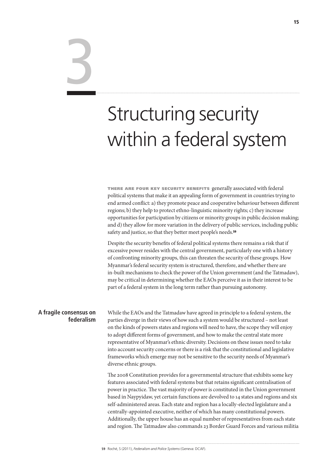# 3

# Structuring security within a federal system

there are four key security benefits generally associated with federal political systems that make it an appealing form of government in countries trying to end armed conflict: a) they promote peace and cooperative behaviour between different regions; b) they help to protect ethno-linguistic minority rights; c) they increase opportunities for participation by citizens or minority groups in public decision making; and d) they allow for more variation in the delivery of public services, including public safety and justice, so that they better meet people's needs.<sup>59</sup>

Despite the security benefits of federal political systems there remains a risk that if excessive power resides with the central government, particularly one with a history of confronting minority groups, this can threaten the security of these groups. How Myanmar's federal security system is structured, therefore, and whether there are in-built mechanisms to check the power of the Union government (and the Tatmadaw), may be critical in determining whether the EAOs perceive it as in their interest to be part of a federal system in the long term rather than pursuing autonomy.

### **A fragile consensus on federalism**

While the EAOs and the Tatmadaw have agreed in principle to a federal system, the parties diverge in their views of how such a system would be structured – not least on the kinds of powers states and regions will need to have, the scope they will enjoy to adopt different forms of government, and how to make the central state more representative of Myanmar's ethnic diversity. Decisions on these issues need to take into account security concerns or there is a risk that the constitutional and legislative frameworks which emerge may not be sensitive to the security needs of Myanmar's diverse ethnic groups.

The 2008 Constitution provides for a governmental structure that exhibits some key features associated with federal systems but that retains significant centralisation of power in practice. The vast majority of power is constituted in the Union government based in Naypyidaw, yet certain functions are devolved to 14 states and regions and six self-administered areas. Each state and region has a locally-elected legislature and a centrally-appointed executive, neither of which has many constitutional powers. Additionally, the upper house has an equal number of representatives from each state and region. The Tatmadaw also commands 23 Border Guard Forces and various militia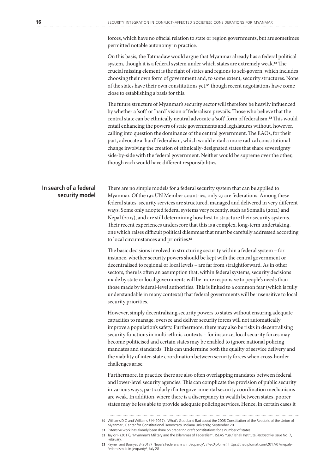forces, which have no official relation to state or region governments, but are sometimes permitted notable autonomy in practice.

On this basis, the Tatmadaw would argue that Myanmar already has a federal political system, though it is a federal system under which states are extremely weak.<sup>60</sup> The crucial missing element is the right of states and regions to self-govern, which includes choosing their own form of government and, to some extent, security structures. None of the states have their own constitutions yet,61 though recent negotiations have come close to establishing a basis for this.

The future structure of Myanmar's security sector will therefore be heavily influenced by whether a 'soft' or 'hard' vision of federalism prevails. Those who believe that the central state can be ethnically neutral advocate a 'soft' form of federalism.62 This would entail enhancing the powers of state governments and legislatures without, however, calling into question the dominance of the central government. The EAOs, for their part, advocate a 'hard' federalism, which would entail a more radical constitutional change involving the creation of ethnically-designated states that share sovereignty side-by-side with the federal government. Neither would be supreme over the other, though each would have different responsibilities.

### **In search of a federal security model**

There are no simple models for a federal security system that can be applied to Myanmar. Of the 192 UN Member countries, only 27 are federations. Among these federal states, security services are structured, managed and delivered in very different ways. Some only adopted federal systems very recently, such as Somalia (2012) and Nepal (2015), and are still determining how best to structure their security systems. Their recent experiences underscore that this is a complex, long-term undertaking, one which raises difficult political dilemmas that must be carefully addressed according to local circumstances and priorities.<sup>63</sup>

The basic decisions involved in structuring security within a federal system – for instance, whether security powers should be kept with the central government or decentralised to regional or local levels – are far from straightforward. As in other sectors, there is often an assumption that, within federal systems, security decisions made by state or local governments will be more responsive to people's needs than those made by federal-level authorities. This is linked to a common fear (which is fully understandable in many contexts) that federal governments will be insensitive to local security priorities.

However, simply decentralising security powers to states without ensuring adequate capacities to manage, oversee and deliver security forces will not automatically improve a population's safety. Furthermore, there may also be risks in decentralising security functions in multi-ethnic contexts – for instance, local security forces may become politicised and certain states may be enabled to ignore national policing mandates and standards. This can undermine both the quality of service delivery and the viability of inter-state coordination between security forces when cross-border challenges arise.

Furthermore, in practice there are also often overlapping mandates between federal and lower-level security agencies. This can complicate the provision of public security in various ways, particularly if intergovernmental security coordination mechanisms are weak. In addition, where there is a discrepancy in wealth between states, poorer states may be less able to provide adequate policing services. Hence, in certain cases it

**<sup>60</sup>** Williams D C and Williams S H (2017), 'What's Good and Bad about the 2008 Constitution of the Republic of the Union of Myanmar', Center for Constitutional Democracy, Indiana University, September 20.

**<sup>61</sup>** Extensive work has already been done on preparing draft constitutions for a number of states.

**<sup>62</sup>** Taylor R (2017), 'Myanmar's Military and the Dilemmas of Federalism', ISEAS Yusuf Ishak Institute *Perspective* Issue No. 7, February.

**<sup>63</sup>** Payne I and Basnyat B (2017) 'Nepal's Federalism Is in Jeopardy', *The Diplomat*, https://thediplomat.com/2017/07/nepalsfederalism-is-in-jeopardy/, July 28.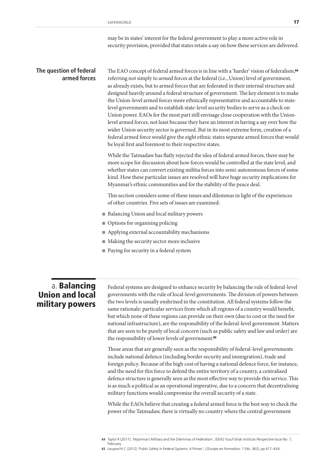may be in states' interest for the federal government to play a more active role in security provision, provided that states retain a say on how these services are delivered.

### **The question of federal armed forces**

The EAO concept of federal armed forces is in line with a 'harder' vision of federalism,<sup>64</sup> referring not simply to armed forces at the federal (i.e., Union) level of government, as already exists, but to armed forces that are federated in their internal structure and designed heavily around a federal structure of government. The key element is to make the Union-level armed forces more ethnically representative and accountable to statelevel governments and to establish state-level security bodies to serve as a check on Union power. EAOs for the most part still envisage close cooperation with the Unionlevel armed forces, not least because they have an interest in having a say over how the wider Union security sector is governed. But in its most extreme form, creation of a federal armed force would give the eight ethnic states separate armed forces that would be loyal first and foremost to their respective states.

While the Tatmadaw has flatly rejected the idea of federal armed forces, there may be more scope for discussion about how forces would be controlled at the state level, and whether states can convert existing militia forces into semi-autonomous forces of some kind. How these particular issues are resolved will have huge security implications for Myanmar's ethnic communities and for the stability of the peace deal.

This section considers some of these issues and dilemmas in light of the experiences of other countries. Five sets of issues are examined:

- Balancing Union and local military powers
- Options for organising policing
- Applying external accountability mechanisms
- Making the security sector more inclusive
- Paying for security in a federal system

### a. Balancing Union and local military powers

Federal systems are designed to enhance security by balancing the rule of federal-level governments with the rule of local-level governments. The division of powers between the two levels is usually enshrined in the constitution. All federal systems follow the same rationale: particular services from which all regions of a country would benefit, but which none of these regions can provide on their own (due to cost or the need for national infrastructure), are the responsibility of the federal-level government. Matters that are seen to be purely of local concern (such as public safety and law and order) are the responsibility of lower levels of government.<sup>65</sup>

Those areas that are generally seen as the responsibility of federal-level governments include national defence (including border security and immigration), trade and foreign policy. Because of the high cost of having a national defence force, for instance, and the need for this force to defend the entire territory of a country, a centralised defence structure is generally seen as the most effective way to provide this service. This is as much a political as an operational imperative, due to a concern that decentralising military functions would compromise the overall security of a state.

While the EAOs believe that creating a federal armed force is the best way to check the power of the Tatmadaw, there is virtually no country where the central government

February.

**65** Leuprecht C (2012) 'Public Safety in Federal Systems: A Primer', *L'Europe en Formation: 1* (*No. 363*), pp 417–434.

**<sup>64</sup>** Taylor R (2017), 'Myanmar's Military and the Dilemmas of Federalism', ISEAS Yusuf Ishak Institute *Perspective* Issue No. 7,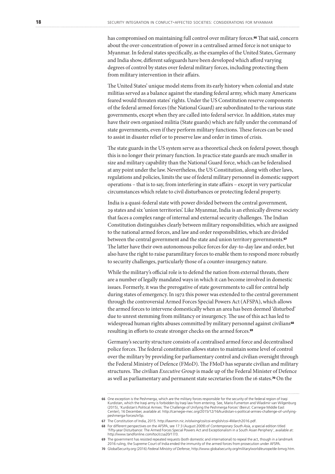has compromised on maintaining full control over military forces.<sup>66</sup> That said, concern about the over-concentration of power in a centralised armed force is not unique to Myanmar. In federal states specifically, as the examples of the United States, Germany and India show, different safeguards have been developed which afford varying degrees of control by states over federal military forces, including protecting them from military intervention in their affairs.

The United States' unique model stems from its early history when colonial and state militias served as a balance against the standing federal army, which many Americans feared would threaten states' rights. Under the US Constitution reserve components of the federal armed forces (the National Guard) are subordinated to the various state governments, except when they are called into federal service. In addition, states may have their own organised militia (State guards) which are fully under the command of state governments, even if they perform military functions. These forces can be used to assist in disaster relief or to preserve law and order in times of crisis.

The state guards in the US system serve as a theoretical check on federal power, though this is no longer their primary function. In practice state guards are much smaller in size and military capability than the National Guard force, which can be federalised at any point under the law. Nevertheless, the US Constitution, along with other laws, regulations and policies, limits the use of federal military personnel in domestic support operations – that is to say, from interfering in state affairs – except in very particular circumstances which relate to civil disturbances or protecting federal property.

India is a quasi-federal state with power divided between the central government, 29 states and six 'union territories'. Like Myanmar, India is an ethnically diverse society that faces a complex range of internal and external security challenges. The Indian Constitution distinguishes clearly between military responsibilities, which are assigned to the national armed forces, and law and order responsibilities, which are divided between the central government and the state and union territory governments.<sup>67</sup> The latter have their own autonomous police forces for day-to-day law and order, but also have the right to raise paramilitary forces to enable them to respond more robustly to security challenges, particularly those of a counter-insurgency nature.

While the military's official role is to defend the nation from external threats, there are a number of legally mandated ways in which it can become involved in domestic issues. Formerly, it was the prerogative of state governments to call for central help during states of emergency. In 1972 this power was extended to the central government through the controversial Armed Forces Special Powers Act (AFSPA), which allows the armed forces to intervene domestically when an area has been deemed 'disturbed' due to unrest stemming from militancy or insurgency. The use of this act has led to widespread human rights abuses committed by military personnel against civilians<sup>68</sup> resulting in efforts to create stronger checks on the armed forces.<sup>69</sup>

Germany's security structure consists of a centralised armed force and decentralised police forces. The federal constitution allows states to maintain some level of control over the military by providing for parliamentary control and civilian oversight through the Federal Ministry of Defence (FMoD). The FMoD has separate civilian and military structures. The civilian *Executive Group* is made up of the Federal Minister of Defence as well as parliamentary and permanent state secretaries from the 16 states.70 On the

**<sup>66</sup>** One exception is the Peshmerga, which are the military forces responsible for the security of the federal region of Iragi Kurdistan, which the Iraqi army is forbidden by Iraqi law from entering. See, Mario Fumerton and Wladimir van Wilgenburg (2015), 'Kurdistan's Political Armies: The Challenge of Unifying the Peshmerga Forces' (Beirut: Carnegie Middle East Center), 16 December, available at: http://carnegie-mec.org/2015/12/16/kurdistan-s-political-armies-challenge-of-unifyingpeshmerga-forces/in5p.

**<sup>67</sup>** The Constitution of India, 2015. http://lawmin.nic.in/olwing/coi/coi-english/coi-4March2016.pdf.

**<sup>68</sup>** For different perspectives on the AFSPA, see 17:3 (August 2009) of *Contemporary South Asia*, a special edition titled 'Fifty-year Disturbance: The Armed Forces Special Powers Act and Exceptionalism in a South Asian Periphery', available at: http://www.tandfonline.com/toc/ccsa20/17/3.

**<sup>69</sup>** The government has resisted repeated requests (both domestic and international) to repeal the act, though in a landmark 2016 ruling, the Supreme Court of India ended the immunity of the armed forces from prosecution under AFSPA.

**<sup>70</sup>** GlobalSecurity.org (2016) *Federal Ministry of Defense*, http://www.globalsecurity.org/military/world/europe/de-bmvg.htm.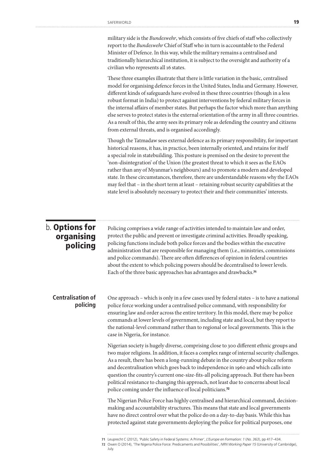military side is the *Bundeswehr*, which consists of five chiefs of staff who collectively report to the *Bundeswehr* Chief of Staff who in turn is accountable to the Federal Minister of Defence. In this way, while the military remains a centralised and traditionally hierarchical institution, it is subject to the oversight and authority of a civilian who represents all 16 states.

These three examples illustrate that there is little variation in the basic, centralised model for organising defence forces in the United States, India and Germany. However, different kinds of safeguards have evolved in these three countries (though in a less robust format in India) to protect against interventions by federal military forces in the internal affairs of member states. But perhaps the factor which more than anything else serves to protect states is the external orientation of the army in all three countries. As a result of this, the army sees its primary role as defending the country and citizens from external threats, and is organised accordingly.

Though the Tatmadaw sees external defence as its primary responsibility, for important historical reasons, it has, in practice, been internally oriented, and retains for itself a special role in statebuilding. This posture is premised on the desire to prevent the 'non-disintegration' of the Union (the greatest threat to which it sees as the EAOs rather than any of Myanmar's neighbours) and to promote a modern and developed state. In these circumstances, therefore, there are understandable reasons why the EAOs may feel that – in the short term at least – retaining robust security capabilities at the state level is absolutely necessary to protect their and their communities' interests.

### b. Options for organising policing

Policing comprises a wide range of activities intended to maintain law and order, protect the public and prevent or investigate criminal activities. Broadly speaking, policing functions include both police forces and the bodies within the executive administration that are responsible for managing them (i.e., ministries, commissions and police commands). There are often differences of opinion in federal countries about the extent to which policing powers should be decentralised to lower levels. Each of the three basic approaches has advantages and drawbacks.<sup>71</sup>

### **Centralisation of policing**

One approach – which is only in a few cases used by federal states – is to have a national police force working under a centralised police command, with responsibility for ensuring law and order across the entire territory. In this model, there may be police commands at lower levels of government, including state and local, but they report to the national-level command rather than to regional or local governments. This is the case in Nigeria, for instance.

Nigerian society is hugely diverse, comprising close to 300 different ethnic groups and two major religions. In addition, it faces a complex range of internal security challenges. As a result, there has been a long-running debate in the country about police reform and decentralisation which goes back to independence in 1960 and which calls into question the country's current one-size-fits-all policing approach. But there has been political resistance to changing this approach, not least due to concerns about local police coming under the influence of local politicians.<sup>72</sup>

The Nigerian Police Force has highly centralised and hierarchical command, decisionmaking and accountability structures. This means that state and local governments have no direct control over what the police do on a day-to-day basis. While this has protected against state governments deploying the police for political purposes, one

**<sup>71</sup>** Leuprecht C (2012), 'Public Safety in Federal Systems: A Primer', *L'Europe en Formation: 1* (*No. 363*), pp 417–434.

**<sup>72</sup>** Owen O (2014), 'The Nigeria Police Force: Predicaments and Possibilities', *NRN Working Paper 15* (University of Cambridge), July.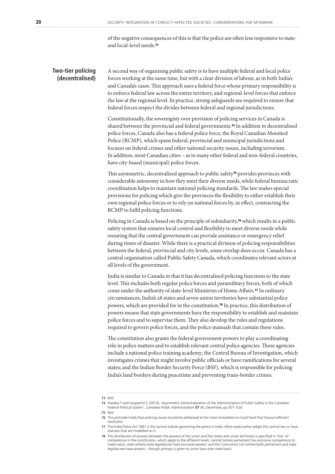of the negative consequences of this is that the police are often less responsive to stateand local-level needs.<sup>73</sup>

### **Two-tier policing (decentralised)**

A second way of organising public safety is to have multiple federal and local police forces working at the same time, but with a clear division of labour, as in both India's and Canada's cases. This approach uses a federal force whose primary responsibility is to enforce federal law across the entire territory, and regional-level forces that enforce the law at the regional level. In practice, strong safeguards are required to ensure that federal forces respect the divides between federal and regional jurisdictions.

Constitutionally, the sovereignty over provision of policing services in Canada is shared between the provincial and federal governments.74 In addition to decentralised police forces, Canada also has a federal police force, the Royal Canadian Mounted Police (RCMP), which spans federal, provincial and municipal jurisdictions and focuses on federal crimes and other national security issues, including terrorism. In addition, most Canadian cities – as in many other federal and non-federal countries, have city-based (municipal) police forces.

This asymmetric, decentralised approach to public safety<sup>75</sup> provides provinces with considerable autonomy in how they meet their diverse needs, while federal bureaucratic coordination helps to maintain national policing standards. The law makes special provisions for policing which give the provinces the flexibility to either establish their own regional police forces or to rely on national forces by, in effect, contracting the RCMP to fulfil policing functions.

Policing in Canada is based on the principle of subsidiarity,<sup>76</sup> which results in a public safety system that ensures local control and flexibility to meet diverse needs while ensuring that the central government can provide assistance or emergency relief during times of disaster. While there is a practical division of policing responsibilities between the federal, provincial and city levels, some overlap does occur. Canada has a central organisation called Public Safety Canada, which coordinates relevant actors at all levels of the government.

India is similar to Canada in that it has decentralised policing functions to the state level. This includes both regular police forces and paramilitary forces, both of which come under the authority of state-level Ministries of Home Affairs.<sup>77</sup> In ordinary circumstances, India's 28 states and seven union territories have substantial police powers, which are provided for in the constitution.78 In practice, this distribution of powers means that state governments have the responsibility to establish and maintain police forces and to supervise them. They also develop the rules and regulations required to govern police forces, and the police manuals that contain these rules.

The constitution also grants the federal government powers to play a coordinating role in police matters and to establish relevant central police agencies. These agencies include a national police training academy; the Central Bureau of Investigation, which investigates crimes that might involve public officials or have ramifications for several states; and the Indian Border Security Force (BSF), which is responsible for policing India's land borders during peacetime and preventing trans-border crimes.

**<sup>73</sup>** *Ibid*.

**<sup>74</sup>** Hataley T and Leuprecht C (2014), 'Asymmetric Decentralization of the Administration of Public Safety in the Canadian Federal Political System', *Canadian Public Administration* **57** (4), December, pp 507–526.

**<sup>75</sup>** *Ibid*.

**<sup>76</sup>** This principle holds that policing issues should be addressed at the most immediate (or local) level that favours efficient resolution.

**<sup>77</sup>** The India Police Act 1861 is the central statute governing the police in India. Most states either adopt this central law or have statutes that are modelled on it.

**<sup>78</sup>** The distribution of powers between the powers of the union and the states and union territories is specified in 'lists' of competence in the constitution, which apply to the different levels: ce*ntral* (where parliament has exclusive competence to<br>make laws); *state* (where state legislatures have exclusive power); and the Co*ncurrent List* (w legislatures have powers – though primacy is given to union laws over state laws).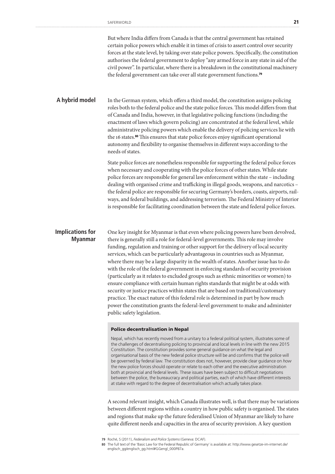But where India differs from Canada is that the central government has retained certain police powers which enable it in times of crisis to assert control over security forces at the state level, by taking over state police powers. Specifically, the constitution authorises the federal government to deploy "any armed force in any state in aid of the civil power". In particular, where there is a breakdown in the constitutional machinery the federal government can take over all state government functions.<sup>79</sup>

In the German system, which offers a third model, the constitution assigns policing roles both to the federal police and the state police forces. This model differs from that of Canada and India, however, in that legislative policing functions (including the enactment of laws which govern policing) are concentrated at the federal level, while administrative policing powers which enable the delivery of policing services lie with the 16 states.80 This ensures that state police forces enjoy significant operational autonomy and flexibility to organise themselves in different ways according to the needs of states. **A hybrid model**

> State police forces are nonetheless responsible for supporting the federal police forces when necessary and cooperating with the police forces of other states. While state police forces are responsible for general law enforcement within the state – including dealing with organised crime and trafficking in illegal goods, weapons, and narcotics – the federal police are responsible for securing Germany's borders, coasts, airports, railways, and federal buildings, and addressing terrorism. The Federal Ministry of Interior is responsible for facilitating coordination between the state and federal police forces.

### **Implications for Myanmar**

One key insight for Myanmar is that even where policing powers have been devolved, there is generally still a role for federal-level governments. This role may involve funding, regulation and training or other support for the delivery of local security services, which can be particularly advantageous in countries such as Myanmar, where there may be a large disparity in the wealth of states. Another issue has to do with the role of the federal government in enforcing standards of security provision (particularly as it relates to excluded groups such as ethnic minorities or women) to ensure compliance with certain human rights standards that might be at odds with security or justice practices within states that are based on traditional/customary practice. The exact nature of this federal role is determined in part by how much power the constitution grants the federal-level government to make and administer public safety legislation.

### Police decentralisation in Nepal

Nepal, which has recently moved from a unitary to a federal political system, illustrates some of the challenges of decentralising policing to provincial and local levels in line with the new 2015 Constitution. The constitution provides some general guidance on what the legal and organisational basis of the new federal police structure will be and confirms that the police will be governed by federal law. The constitution does not, however, provide clear guidance on *how* the new police forces should operate or relate to each other and the executive administration both at provincial and federal levels. These issues have been subject to difficult negotiations between the police, the bureaucracy and political parties, each of which have different interests at stake with regard to the degree of decentralisation which actually takes place.

A second relevant insight, which Canada illustrates well, is that there may be variations between different regions within a country in how public safety is organised. The states and regions that make up the future federalised Union of Myanmar are likely to have quite different needs and capacities in the area of security provision. A key question

**<sup>79</sup>** Roché, S (2011), *Federalism and Police Systems* (Geneva: DCAF).

**<sup>80</sup>** The full text of the 'Basic Law for the Federal Republic of Germany' is available at: http://www.gesetze-im-internet.de/ englisch\_gg/englisch\_gg.html#GGengl\_000P87a.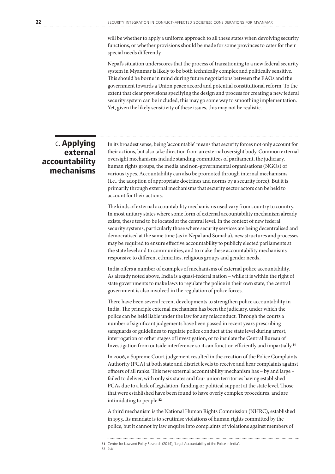will be whether to apply a uniform approach to all these states when devolving security functions, or whether provisions should be made for some provinces to cater for their special needs differently.

Nepal's situation underscores that the process of transitioning to a new federal security system in Myanmar is likely to be both technically complex and politically sensitive. This should be borne in mind during future negotiations between the EAOs and the government towards a Union peace accord and potential constitutional reform. To the extent that clear provisions specifying the design and process for creating a new federal security system can be included, this may go some way to smoothing implementation. Yet, given the likely sensitivity of these issues, this may not be realistic.

### c. Applying external accountability mechanisms

In its broadest sense, being 'accountable' means that security forces not only account for their actions, but also take direction from an external oversight body. Common external oversight mechanisms include standing committees of parliament, the judiciary, human rights groups, the media and non-governmental organisations (NGOs) of various types. Accountability can also be promoted through internal mechanisms (i.e., the adoption of appropriate doctrines and norms by a security force). But it is primarily through external mechanisms that security sector actors can be held to account for their actions.

The kinds of external accountability mechanisms used vary from country to country. In most unitary states where some form of external accountability mechanism already exists, these tend to be located at the central level. In the context of new federal security systems, particularly those where security services are being decentralised and democratised at the same time (as in Nepal and Somalia), new structures and processes may be required to ensure effective accountability to publicly elected parliaments at the state level and to communities, and to make these accountability mechanisms responsive to different ethnicities, religious groups and gender needs.

India offers a number of examples of mechanisms of external police accountability. As already noted above, India is a quasi-federal nation – while it is within the right of state governments to make laws to regulate the police in their own state, the central government is also involved in the regulation of police forces.

There have been several recent developments to strengthen police accountability in India. The principle external mechanism has been the judiciary, under which the police can be held liable under the law for any misconduct. Through the courts a number of significant judgements have been passed in recent years prescribing safeguards or guidelines to regulate police conduct at the state level during arrest, interrogation or other stages of investigation, or to insulate the Central Bureau of Investigation from outside interference so it can function efficiently and impartially.<sup>81</sup>

In 2006, a Supreme Court judgement resulted in the creation of the Police Complaints Authority (PCA) at both state and district levels to receive and hear complaints against officers of all ranks. This new external accountability mechanism has – by and large – failed to deliver, with only six states and four union territories having established PCAs due to a lack of legislation, funding or political support at the state level. Those that were established have been found to have overly complex procedures, and are intimidating to people.<sup>82</sup>

A third mechanism is the National Human Rights Commission (NHRC), established in 1993. Its mandate is to scrutinise violations of human rights committed by the police, but it cannot by law enquire into complaints of violations against members of

**81** Centre for Law and Policy Research (2014), 'Legal Accountability of the Police in India'.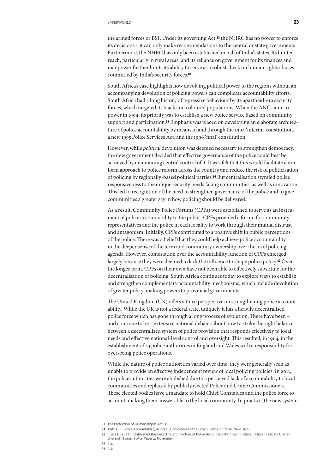the armed forces or BSF. Under its governing Act,<sup>83</sup> the NHRC has no power to enforce its decisions – it can only make recommendations to the central or state governments. Furthermore, the NHRC has only been established in half of India's states. Its limited reach, particularly in rural areas, and its reliance on government for its finances and manpower further limits its ability to serve as a robust check on human rights abuses committed by India's security forces.<sup>84</sup>

South Africa's case highlights how devolving political power to the regions without an accompanying devolution of policing powers can complicate accountability efforts. South Africa had a long history of repressive behaviour by its apartheid-era security forces, which targeted its black and coloured populations. When the ANC came to power in 1994, its priority was to establish a new police service based on community support and participation.<sup>85</sup> Emphasis was placed on developing an elaborate architecture of police accountability by means of and through the 1994 'interim' constitution, a new 1995 Police Services Act, and the 1996 'final' constitution.

However, while *political* devolution was deemed necessary to strengthen democracy, the new government decided that effective governance of the police could best be achieved by maintaining central control of it. It was felt that this would facilitate a uniform approach to police reform across the country and reduce the risk of politicisation of policing by regionally-based political parties.86 But centralisation stymied police responsiveness to the unique security needs facing communities, as well as innovation. This led to recognition of the need to strengthen governance of the police and to give communities a greater say in how policing should be delivered.

As a result, Community Police Forums (CPFs) were established to serve as an instrument of police accountability to the public. CPFs provided a forum for community representatives and the police in each locality to work through their mutual distrust and antagonism. Initially, CPFs contributed to a positive shift in public perceptions of the police. There was a belief that they could help achieve police accountability in the deeper sense of the term and community ownership over the local policing agenda. However, contestation over the accountability function of CPFs emerged, largely because they were deemed to lack the influence to shape police policy.<sup>87</sup> Over the longer term, CPFs on their own have not been able to effectively substitute for the decentralisation of policing. South Africa continues today to explore ways to establish and strengthen complementary accountability mechanisms, which include devolution of greater policy-making powers to provincial governments.

The United Kingdom (UK) offers a third perspective on strengthening police accountability. While the UK is not a federal state, uniquely it has a heavily decentralised police force which has gone through a long process of evolution. There have been – and continue to be – extensive national debates about how to strike the right balance between a decentralised system of police provision that responds effectively to local needs and effective national-level control and oversight. This resulted, in 1964, in the establishment of 43 police authorities in England and Wales with a responsibility for overseeing police operations.

While the nature of police authorities varied over time, they were generally seen as unable to provide an effective independent review of local policing policies. In 2011, the police authorities were abolished due to a perceived lack of accountability to local communities and replaced by publicly elected Police and Crime Commissioners. These elected bodies have a mandate to hold Chief Constables and the police force to account, making them answerable to the local community. In practice, the new system

<sup>83</sup> The Protection of Human Rights Act, 1993.

**<sup>84</sup>** Joshi G P, 'Police Accountability in India', Commonwealth Human Rights Initiative, New Delhi.

**<sup>85</sup>** Bruce D (2011), 'Unfinished Business: The Architecture of Police Accountability in South Africa', African Policing Civilian Oversight Forum *Policy Paper 2*, November.

**<sup>86</sup>** *Ibid*.

**<sup>87</sup>** *Ibid*.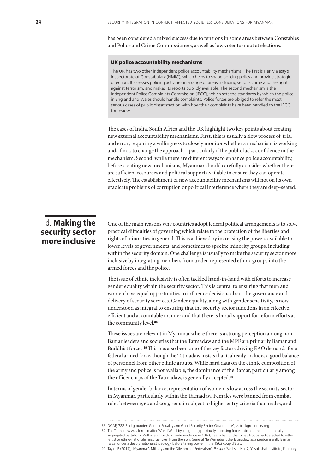has been considered a mixed success due to tensions in some areas between Constables and Police and Crime Commissioners, as well as low voter turnout at elections.

### UK police accountability mechanisms

The UK has two other independent police accountability mechanisms. The first is Her Majesty's Inspectorate of Constabulary (HMIC), which helps to shape policing policy and provide strategic direction. It assesses policing activities in a range of areas including serious crime and the fight against terrorism, and makes its reports publicly available. The second mechanism is the Independent Police Complaints Commission (IPCC), which sets the standards by which the police in England and Wales should handle complaints. Police forces are obliged to refer the most serious cases of public dissatisfaction with how their complaints have been handled to the IPCC for review.

The cases of India, South Africa and the UK highlight two key points about creating new external accountability mechanisms. First, this is usually a slow process of 'trial and error', requiring a willingness to closely monitor whether a mechanism is working and, if not, to change the approach – particularly if the public lacks confidence in the mechanism. Second, while there are different ways to enhance police accountability, before creating new mechanisms, Myanmar should carefully consider whether there are sufficient resources and political support available to ensure they can operate effectively. The establishment of new accountability mechanisms will not on its own eradicate problems of corruption or political interference where they are deep-seated.

### d. Making the security sector more inclusive

One of the main reasons why countries adopt federal political arrangements is to solve practical difficulties of governing which relate to the protection of the liberties and rights of minorities in general. This is achieved by increasing the powers available to lower levels of governments, and sometimes to specific minority groups, including within the security domain. One challenge is usually to make the security sector more inclusive by integrating members from under-represented ethnic groups into the armed forces and the police.

The issue of ethnic inclusivity is often tackled hand-in-hand with efforts to increase gender equality within the security sector. This is central to ensuring that men and women have equal opportunities to influence decisions about the governance and delivery of security services. Gender equality, along with gender sensitivity, is now understood as integral to ensuring that the security sector functions in an effective, efficient and accountable manner and that there is broad support for reform efforts at the community level.<sup>88</sup>

These issues are relevant in Myanmar where there is a strong perception among non-Bamar leaders and societies that the Tatmadaw and the MPF are primarily Bamar and Buddhist forces.89 This has also been one of the key factors driving EAO demands for a federal armed force, though the Tatmadaw insists that it already includes a good balance of personnel from other ethnic groups. While hard data on the ethnic composition of the army and police is not available, the dominance of the Bamar, particularly among the officer corps of the Tatmadaw, is generally accepted.<sup>90</sup>

In terms of gender balance, representation of women is low across the security sector in Myanmar, particularly within the Tatmadaw. Females were banned from combat roles between 1962 and 2013, remain subject to higher entry criteria than males, and

**<sup>88</sup>** DCAF, 'SSR Backgrounder: Gender Equality and Good Security Sector Governance', ssrbackgrounders.org

**<sup>89</sup>** The Tatmadaw was formed after World War II by integrating previously opposing forces into a number of ethnically segregated battalions. Within six months of independence in 1948, nearly half of the force's troops had defected to either leftist or ethno-nationalist insurgencies. From then on, General Ne Win rebuilt the Tatmadaw as a predominantly Bamar force, under a deeply nationalist ideology, before taking power in the 1962 coup d'état.

**<sup>90</sup>** Taylor R (2017), 'Myanmar's Military and the Dilemma of Federalism', *Perspective* Issue No. 7, Yusof Ishak Institute, February.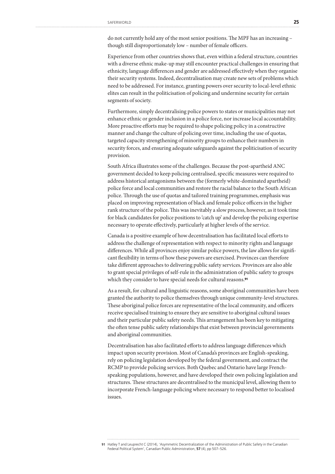do not currently hold any of the most senior positions. The MPF has an increasing – though still disproportionately low – number of female officers.

Experience from other countries shows that, even within a federal structure, countries with a diverse ethnic make-up may still encounter practical challenges in ensuring that ethnicity, language differences and gender are addressed effectively when they organise their security systems. Indeed, decentralisation may create new sets of problems which need to be addressed. For instance, granting powers over security to local-level ethnic elites can result in the politicisation of policing and undermine security for certain segments of society.

Furthermore, simply decentralising police powers to states or municipalities may not enhance ethnic or gender inclusion in a police force, nor increase local accountability. More proactive efforts may be required to shape policing policy in a constructive manner and change the culture of policing over time, including the use of quotas, targeted capacity strengthening of minority groups to enhance their numbers in security forces, and ensuring adequate safeguards against the politicisation of security provision.

South Africa illustrates some of the challenges. Because the post-apartheid ANC government decided to keep policing centralised, specific measures were required to address historical antagonisms between the (formerly white-dominated apartheid) police force and local communities and restore the racial balance to the South African police. Through the use of quotas and tailored training programmes, emphasis was placed on improving representation of black and female police officers in the higher rank structure of the police. This was inevitably a slow process, however, as it took time for black candidates for police positions to 'catch up' and develop the policing expertise necessary to operate effectively, particularly at higher levels of the service.

Canada is a positive example of how decentralisation has facilitated local efforts to address the challenge of representation with respect to minority rights and language differences. While all provinces enjoy similar police powers, the law allows for significant flexibility in terms of how these powers are exercised. Provinces can therefore take different approaches to delivering public safety services. Provinces are also able to grant special privileges of self-rule in the administration of public safety to groups which they consider to have special needs for cultural reasons.<sup>91</sup>

As a result, for cultural and linguistic reasons, some aboriginal communities have been granted the authority to police themselves through unique community-level structures. These aboriginal police forces are representative of the local community, and officers receive specialised training to ensure they are sensitive to aboriginal cultural issues and their particular public safety needs. This arrangement has been key to mitigating the often tense public safety relationships that exist between provincial governments and aboriginal communities.

Decentralisation has also facilitated efforts to address language differences which impact upon security provision. Most of Canada's provinces are English-speaking, rely on policing legislation developed by the federal government, and contract the RCMP to provide policing services. Both Quebec and Ontario have large Frenchspeaking populations, however, and have developed their own policing legislation and structures. These structures are decentralised to the municipal level, allowing them to incorporate French-language policing where necessary to respond better to localised issues.

**<sup>91</sup>** Hatley T and Leuprecht C (2014), 'Asymmetric Decentralization of the Administration of Public Safety in the Canadian Federal Political System', Canadian Public Administration, **57** (4), pp 507–526.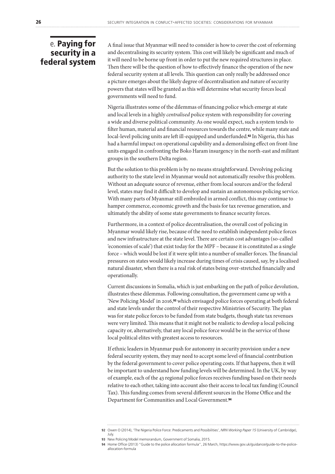### e. Paying for security in a federal system

A final issue that Myanmar will need to consider is how to cover the cost of reforming and decentralising its security system. This cost will likely be significant and much of it will need to be borne up front in order to put the new required structures in place. Then there will be the question of how to effectively finance the operation of the new federal security system at all levels. This question can only really be addressed once a picture emerges about the likely degree of decentralisation and nature of security powers that states will be granted as this will determine what security forces local governments will need to fund.

Nigeria illustrates some of the dilemmas of financing police which emerge at state and local levels in a highly *centralised* police system with responsibility for covering a wide and diverse political community. As one would expect, such a system tends to filter human, material and financial resources towards the centre, while many state and local-level policing units are left ill-equipped and underfunded.92 In Nigeria, this has had a harmful impact on operational capability and a demoralising effect on front-line units engaged in confronting the Boko Haram insurgency in the north-east and militant groups in the southern Delta region.

But the solution to this problem is by no means straightforward. Devolving policing authority to the state level in Myanmar would not automatically resolve this problem. Without an adequate source of revenue, either from local sources and/or the federal level, states may find it difficult to develop and sustain an autonomous policing service. With many parts of Myanmar still embroiled in armed conflict, this may continue to hamper commerce, economic growth and the basis for tax revenue generation, and ultimately the ability of some state governments to finance security forces.

Furthermore, in a context of police decentralisation, the overall cost of policing in Myanmar would likely rise, because of the need to establish independent police forces and new infrastructure at the state level. There are certain cost advantages (so-called 'economies of scale') that exist today for the MPF – because it is constituted as a single force – which would be lost if it were split into a number of smaller forces. The financial pressures on states would likely increase during times of crisis caused, say, by a localised natural disaster, when there is a real risk of states being over-stretched financially and operationally.

Current discussions in Somalia, which is just embarking on the path of police devolution, illustrates these dilemmas. Following consultation, the government came up with a 'New Policing Model' in 2016,93 which envisaged police forces operating at both federal and state levels under the control of their respective Ministries of Security. The plan was for state police forces to be funded from state budgets, though state tax revenues were very limited. This means that it might not be realistic to develop a local policing capacity or, alternatively, that any local police force would be in the service of those local political elites with greatest access to resources.

If ethnic leaders in Myanmar push for autonomy in security provision under a new federal security system, they may need to accept some level of financial contribution by the federal government to cover police operating costs. If that happens, then it will be important to understand how funding levels will be determined. In the UK, by way of example, each of the 43 regional police forces receives funding based on their needs relative to each other, taking into account also their access to local tax funding (Council Tax). This funding comes from several different sources in the Home Office and the Department for Communities and Local Government.<sup>94</sup>

**<sup>92</sup>** Owen O (2014), 'The Nigeria Police Force: Predicaments and Possibilities', *NRN Working Paper 15* (University of Cambridge), July.

**<sup>93</sup>** New Policing Model memorandum, Government of Somalia, 2015.

**<sup>94</sup>** Home Office (2013) "Guide to the police allocation formula", 26 March, https://www.gov.uk/guidance/guide-to-the-policeallocation-formula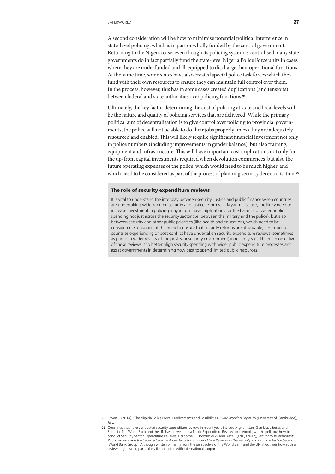A second consideration will be how to minimise potential political interference in state-level policing, which is in part or wholly funded by the central government. Returning to the Nigeria case, even though its policing system is centralised many state governments do in fact partially fund the state-level Nigeria Police Force units in cases where they are underfunded and ill-equipped to discharge their operational functions. At the same time, some states have also created special police task forces which they fund with their own resources to ensure they can maintain full control over them. In the process, however, this has in some cases created duplications (and tensions) between federal and state authorities over policing functions.<sup>95</sup>

Ultimately, the key factor determining the cost of policing at state and local levels will be the nature and quality of policing services that are delivered. While the primary political aim of decentralisation is to give control over policing to provincial governments, the police will not be able to do their jobs properly unless they are adequately resourced and enabled. This will likely require significant financial investment not only in police numbers (including improvements in gender balance), but also training, equipment and infrastructure. This will have important cost implications not only for the up-front capital investments required when devolution commences, but also the future operating expenses of the police, which would need to be much higher, and which need to be considered as part of the process of planning security decentralisation.<sup>96</sup>

#### The role of security expenditure reviews

It is vital to understand the interplay between security, justice and public finance when countries are undertaking wide-ranging security and justice reforms. In Myanmar's case, the likely need to increase investment in policing may in turn have implications for the balance of wider public spending not just across the security sector (i.e. between the military and the police), but also between security and other public priorities (like health and education), which need to be considered. Conscious of the need to ensure that security reforms are affordable, a number of countries experiencing or post conflict have undertaken security expenditure reviews (sometimes as part of a wider review of the post-war security environment) in recent years. The main objective of these reviews is to better align security spending with wider public expenditure processes and assist governments in determining how best to spend limited public resources.

**<sup>95</sup>** Owen O (2014), 'The Nigeria Police Force: Predicaments and Possibilities', *NRN Working Paper 15* (University of Cambridge), July.

**<sup>96</sup>** Countries that have conducted security expenditure reviews in recent years include Afghanistan, Gambia, Liberia, and Somalia. The World Bank and the UN have developed a Public Expenditure Review sourcebook, which spells out how to conduct Security Sector Expenditure Reviews. Harborne B, Dorotinsky W and Bisca P (Eds.) (2017), *Securing Development: Public Finance and the Security Sector – A Guide to Public Expenditure Reviews in the Security and Criminal Justice Sectors* (World Bank Group). Although written primarily from the perspective of the World Bank and the UN, it outlines how such a review might work, particularly if conducted with international support.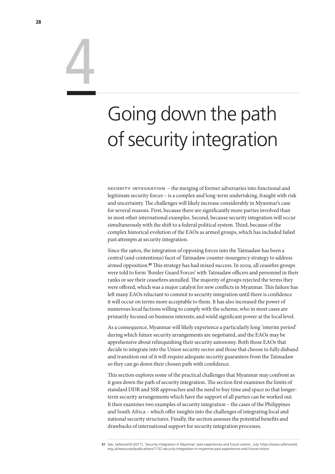# Going down the path of security integration

security integration – the merging of former adversaries into functional and legitimate security forces – is a complex and long-term undertaking, fraught with risk and uncertainty. The challenges will likely increase considerably in Myanmar's case for several reasons. First, because there are significantly more parties involved than in most other international examples. Second, because security integration will occur simultaneously with the shift to a federal political system. Third, because of the complex historical evolution of the EAOs as armed groups, which has included failed past attempts at security integration.

Since the 1960s, the integration of opposing forces into the Tatmadaw has been a central (and contentious) facet of Tatmadaw counter-insurgency strategy to address armed opposition.97 This strategy has had mixed success. In 2009, all ceasefire groups were told to form 'Border Guard Forces' with Tatmadaw officers and personnel in their ranks or see their ceasefires annulled. The majority of groups rejected the terms they were offered, which was a major catalyst for new conflicts in Myanmar. This failure has left many EAOs reluctant to commit to security integration until there is confidence it will occur on terms more acceptable to them. It has also increased the power of numerous local factions willing to comply with the scheme, who in most cases are primarily focused on business interests, and wield significant power at the local level.

As a consequence, Myanmar will likely experience a particularly long 'interim period' during which future security arrangements are negotiated, and the EAOs may be apprehensive about relinquishing their security autonomy. Both those EAOs that decide to integrate into the Union security sector and those that choose to fully disband and transition out of it will require adequate security guarantees from the Tatmadaw so they can go down their chosen path with confidence.

This section explores some of the practical challenges that Myanmar may confront as it goes down the path of security integration. The section first examines the limits of standard DDR and SSR approaches and the need to buy time and space so that longerterm security arrangements which have the support of all parties can be worked out. It then examines two examples of security integration – the cases of the Philippines and South Africa – which offer insights into the challenges of integrating local and national security structures. Finally, the section assesses the potential benefits and drawbacks of international support for security integration processes.

4

**<sup>97</sup>** See, Saferworld (2017), 'Security integration in Myanmar: past experiences and future visions', July. https://www.saferworld. org.uk/resources/publications/1132-security-integration-in-myanmar-past-experiences-and-future-visions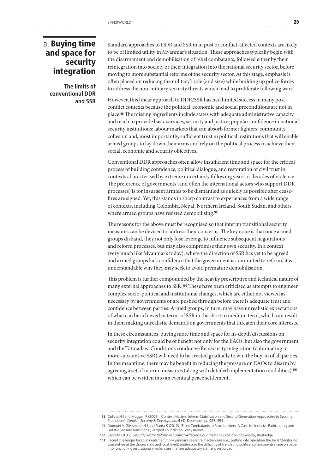### a. Buying time and space for security integration

**The limits of conventional DDR and SSR** Standard approaches to DDR and SSR in in post or conflict-affected contexts are likely to be of limited utility in Myanmar's situation. These approaches typically begin with the disarmament and demobilisation of rebel combatants, followed either by their reintegration into society or their integration into the national security sector, before moving to more substantial reforms of the security sector. At this stage, emphasis is often placed on reducing the military's role (and size) while building up police forces to address the non-military security threats which tend to proliferate following wars.

However, this linear approach to DDR/SSR has had limited success in many postconflict contexts because the political, economic and social preconditions are not in place.98 The missing ingredients include states with adequate administrative capacity and reach to provide basic services, security and justice; popular confidence in national security institutions; labour markets that can absorb former fighters; community cohesion and, most importantly, sufficient trust in political institutions that will enable armed groups to lay down their arms and rely on the political process to achieve their social, economic and security objectives.

Conventional DDR approaches often allow insufficient time and space for the critical process of building confidence, political dialogue, and restoration of civil trust in contexts characterised by extreme uncertainty following years or decades of violence. The preference of governments (and often the international actors who support DDR processes) is for insurgent armies to be dismantled as quickly as possible after ceasefires are signed. Yet, this stands in sharp contrast to experiences from a wide range of contexts, including Colombia, Nepal, Northern Ireland, South Sudan, and others where armed groups have resisted demobilising.<sup>99</sup>

The reasons for the above must be recognised so that interim transitional security measures can be devised to address their concerns. The key issue is that once armed groups disband, they not only lose leverage to influence subsequent negotiations and reform processes, but may also compromise their own security. In a context (very much like Myanmar's today), where the direction of SSR has yet to be agreed and armed groups lack confidence that the government is committed to reform, it is understandable why they may seek to avoid premature demobilisation.

This problem is further compounded by the heavily prescriptive and technical nature of many external approaches to SSR.100 These have been criticised as attempts to engineer complex socio-political and institutional changes, which are either not viewed as necessary by governments or are pushed through before there is adequate trust and confidence between parties. Armed groups, in turn, may have unrealistic expectations of what can be achieved in terms of SSR in the short to medium term, which can result in them making unrealistic demands on governments that threaten their core interests.

In these circumstances, buying more time and space for in-depth discussions on security integration could be of benefit not only for the EAOs, but also the government and the Tatmadaw. Conditions conducive for security integration (culminating in more substantive SSR) will need to be created gradually to win the buy-in of all parties. In the meantime, there may be benefit in reducing the pressure on EAOs to disarm by agreeing a set of interim measures (along with detailed implementation modalities),<sup>101</sup> which can be written into an eventual peace settlement.

**<sup>98</sup>** Colleta N J and Muggah R (2009), 'Context Matters: Interim Stabilisation and Second Generation Approaches to Security Promotion', *Conflict, Security & Development* **9** (4), December, pp 425–454.

**<sup>99</sup>** Dudouet V, Giessmann H J and Planta K (2012), 'From Combatants to Peacebuilders: A Case for Inclusive Participatory and Holistic Security Transitions', Berghof Foundation Policy Report.

**<sup>100</sup>** Sedra M (2017), *Security Sector Reform in Conflict-Affected Countries: The Evolution of a Model*, Routledge.

**<sup>101</sup>** Recent challenges faced in implementing Myanmar's ceasefire mechanisms (i.e., putting into operation the Joint Monitoring Committee at the Union, state and local levels) underscore the difficulty of translating political commitments made on paper into functioning institutional mechanisms that are adequately staff and resourced.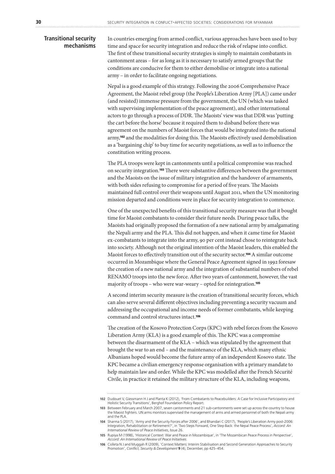### **Transitional security mechanisms**

In countries emerging from armed conflict, various approaches have been used to buy time and space for security integration and reduce the risk of relapse into conflict. The first of these transitional security strategies is simply to maintain combatants in cantonment areas – for as long as it is necessary to satisfy armed groups that the conditions are conducive for them to either demobilise or integrate into a national army – in order to facilitate ongoing negotiations.

Nepal is a good example of this strategy. Following the 2006 Comprehensive Peace Agreement, the Maoist rebel group (the People's Liberation Army [PLA]) came under (and resisted) immense pressure from the government, the UN (which was tasked with supervising implementation of the peace agreement), and other international actors to go through a process of DDR. The Maoists' view was that DDR was 'putting the cart before the horse' because it required them to disband before there was agreement on the numbers of Maoist forces that would be integrated into the national army,102 and the modalities for doing this. The Maoists effectively used demobilisation as a 'bargaining chip' to buy time for security negotiations, as well as to influence the constitution writing process.

The PLA troops were kept in cantonments until a political compromise was reached on security integration.103 There were substantive differences between the government and the Maoists on the issue of military integration and the handover of armaments, with both sides refusing to compromise for a period of five years. The Maoists maintained full control over their weapons until August 2011, when the UN monitoring mission departed and conditions were in place for security integration to commence.

One of the unexpected benefits of this transitional security measure was that it bought time for Maoist combatants to consider their future needs. During peace talks, the Maoists had originally proposed the formation of a new national army by amalgamating the Nepali army and the PLA. This did not happen, and when it came time for Maoist ex-combatants to integrate into the army, 90 per cent instead chose to reintegrate back into society. Although not the original intention of the Maoist leaders, this enabled the Maoist forces to effectively transition out of the security sector.104 A similar outcome occurred in Mozambique where the General Peace Agreement signed in 1992 foresaw the creation of a new national army and the integration of substantial numbers of rebel RENAMO troops into the new force. After two years of cantonment, however, the vast majority of troops – who were war-weary – opted for reintegration.<sup>105</sup>

A second interim security measure is the creation of transitional security forces, which can also serve several different objectives including preventing a security vacuum and addressing the occupational and income needs of former combatants, while keeping command and control structures intact.<sup>106</sup>

The creation of the Kosovo Protection Corps (KPC) with rebel forces from the Kosovo Liberation Army (KLA) is a good example of this. The KPC was a compromise between the disarmament of the KLA – which was stipulated by the agreement that brought the war to an end – and the maintenance of the KLA, which many ethnic Albanians hoped would become the future army of an independent Kosovo state. The KPC became a civilian emergency response organisation with a primary mandate to help maintain law and order. While the KPC was modelled after the French Sécurité Civile, in practice it retained the military structure of the KLA, including weapons,

**<sup>102</sup>** Dudouet V, Giessmann H J and Planta K (2012), 'From Combatants to Peacebuilders: A Case for Inclusive Participatory and Holistic Security Transitions', Berghof Foundation Policy Report.

**<sup>103</sup>** Between February and March 2007, seven cantonments and 21 sub-cantonments were set up across the country to house the Maoist fighters. UN arms monitors supervised the management of arms and armed personnel of both the Nepali army and the PLA.

**<sup>104</sup>** Sharma S (2017), 'Army and the Security Forces after 2006', and Bhandari C (2017), 'People's Liberation Army post-2006: Integration, Rehabilitation or Retirement?', in 'Two Steps Forward, One Step Back: the Nepal Peace Process', *Accord: An International Review of Peace Initiatives*, Issue 26.

**<sup>105</sup>** Rupiya M (1998), 'Historical Context: War and Peace in Mozambique', in 'The Mozambican Peace Process in Perspective', *Accord: An International Review of Peace Initiatives*.

**<sup>106</sup>** Colleta N J and Muggah R (2009), 'Context Matters: Interim Stabilisation and Second Generation Approaches to Security Promotion', *Conflict, Security & Development* **9** (4), December, pp 425–454.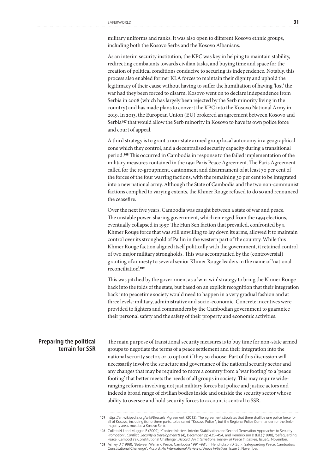military uniforms and ranks. It was also open to different Kosovo ethnic groups, including both the Kosovo Serbs and the Kosovo Albanians.

As an interim security institution, the KPC was key in helping to maintain stability, redirecting combatants towards civilian tasks, and buying time and space for the creation of political conditions conducive to securing its independence. Notably, this process also enabled former KLA forces to maintain their dignity and uphold the legitimacy of their cause without having to suffer the humiliation of having 'lost' the war had they been forced to disarm. Kosovo went on to declare independence from Serbia in 2008 (which has largely been rejected by the Serb minority living in the country) and has made plans to convert the KPC into the Kosovo National Army in 2019. In 2013, the European Union (EU) brokered an agreement between Kosovo and Serbia<sup>107</sup> that would allow the Serb minority in Kosovo to have its own police force and court of appeal.

A third strategy is to grant a non-state armed group local autonomy in a geographical zone which they control, and a decentralised security capacity during a transitional period.108 This occurred in Cambodia in response to the failed implementation of the military measures contained in the 1991 Paris Peace Agreement. The Paris Agreement called for the re-groupment, cantonment and disarmament of at least 70 per cent of the forces of the four warring factions, with the remaining 30 per cent to be integrated into a new national army. Although the State of Cambodia and the two non-communist factions complied to varying extents, the Khmer Rouge refused to do so and renounced the ceasefire.

Over the next five years, Cambodia was caught between a state of war and peace. The unstable power-sharing government, which emerged from the 1993 elections, eventually collapsed in 1997. The Hun Sen faction that prevailed, confronted by a Khmer Rouge force that was still unwilling to lay down its arms, allowed it to maintain control over its stronghold of Pailin in the western part of the country. While this Khmer Rouge faction aligned itself politically with the government, it retained control of two major military strongholds. This was accompanied by the (controversial) granting of amnesty to several senior Khmer Rouge leaders in the name of 'national reconciliation'.<sup>109</sup>

This was pitched by the government as a 'win-win' strategy to bring the Khmer Rouge back into the folds of the state, but based on an explicit recognition that their integration back into peacetime society would need to happen in a very gradual fashion and at three levels: military, administrative and socio-economic. Concrete incentives were provided to fighters and commanders by the Cambodian government to guarantee their personal safety and the safety of their property and economic activities.

### **Preparing the political terrain for SSR**

The main purpose of transitional security measures is to buy time for non-state armed groups to negotiate the terms of a peace settlement and their integration into the national security sector, or to opt out if they so choose. Part of this discussion will necessarily involve the structure and governance of the national security sector and any changes that may be required to move a country from a 'war footing' to a 'peace footing' that better meets the needs of all groups in society. This may require wideranging reforms involving not just military forces but police and justice actors and indeed a broad range of civilian bodies inside and outside the security sector whose ability to oversee and hold security forces to account is central to SSR.

<sup>107</sup> https://en.wikipedia.org/wiki/Brussels\_Agreement\_(2013). The agreement stipulates that there shall be one police force for all of Kosovo, including its northern parts, to be called "Kosovo Police", but the Regional Police Commander for the Serbmajority areas must be a Kosovo Serb.

**<sup>108</sup>** Colleta N J and Muggah R (2009), 'Context Matters: Interim Stabilisation and Second Generation Approaches to Security Promotion', *Conflict, Security & Development* **9** (4), December, pp 425–454, and Hendrickson D (Ed.) (1998), 'Safeguarding Peace: Cambodia's Constitutional Challenge', *Accord: An International Review of Peace Initiatives*, Issue 5, November.

**<sup>109</sup>** Ashley D (1998), 'Between War and Peace: Cambodia 1991–98', in Hendrickson D (Ed.), 'Safeguarding Peace: Cambodia's Constitutional Challenge', *Accord: An International Review of Peace Initiatives*, Issue 5, November.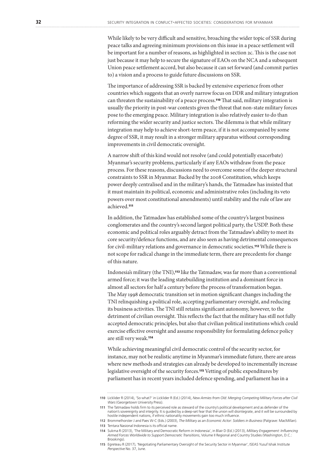While likely to be very difficult and sensitive, broaching the wider topic of SSR during peace talks and agreeing minimum provisions on this issue in a peace settlement will be important for a number of reasons, as highlighted in section 2c. This is the case not just because it may help to secure the signature of EAOs on the NCA and a subsequent Union peace settlement accord, but also because it can set forward (and commit parties to) a vision and a process to guide future discussions on SSR.

The importance of addressing SSR is backed by extensive experience from other countries which suggests that an overly narrow focus on DDR and military integration can threaten the sustainability of a peace process.110 That said, military integration is usually the priority in post-war contexts given the threat that non-state military forces pose to the emerging peace. Military integration is also relatively easier to do than reforming the wider security and justice sectors. The dilemma is that while military integration may help to achieve short-term peace, if it is not accompanied by some degree of SSR, it may result in a stronger military apparatus without corresponding improvements in civil democratic oversight.

A narrow shift of this kind would not resolve (and could potentially exacerbate) Myanmar's security problems, particularly if any EAOs withdraw from the peace process. For these reasons, discussions need to overcome some of the deeper structural constraints to SSR in Myanmar. Backed by the 2008 Constitution, which keeps power deeply centralised and in the military's hands, the Tatmadaw has insisted that it must maintain its political, economic and administrative roles (including its veto powers over most constitutional amendments) until stability and the rule of law are achieved.<sup>111</sup>

In addition, the Tatmadaw has established some of the country's largest business conglomerates and the country's second largest political party, the USDP. Both these economic and political roles arguably detract from the Tatmadaw's ability to meet its core security/defence functions, and are also seen as having detrimental consequences for civil-military relations and governance in democratic societies.112 While there is not scope for radical change in the immediate term, there are precedents for change of this nature.

Indonesia's military (the TNI),113 like the Tatmadaw, was far more than a conventional armed force; it was the leading statebuilding institution and a dominant force in almost all sectors for half a century before the process of transformation began. The May 1998 democratic transition set in motion significant changes including the TNI relinquishing a political role, accepting parliamentary oversight, and reducing its business activities. The TNI still retains significant autonomy, however, to the detriment of civilian oversight. This reflects the fact that the military has still not fully accepted democratic principles, but also that civilian political institutions which could exercise effective oversight and assume responsibility for formulating defence policy are still very weak.<sup>114</sup>

While achieving meaningful civil democratic control of the security sector, for instance, may not be realistic anytime in Myanmar's immediate future, there are areas where new methods and strategies can already be developed to incrementally increase legislative oversight of the security forces.115 Vetting of public expenditures by parliament has in recent years included defence spending, and parliament has in a

**<sup>110</sup>** Licklider R (2014), 'So what?' in Licklider R (Ed.) (2014), *New Armies from Old: Merging Competing Military Forces after Civil Wars* (Georgetown University Press).

**<sup>111</sup>** The Tatmadaw holds firm to its perceived role as steward of the country's political development and as defender of the nation's sovereignty and integrity. It is guided by a deep-set fear that the union will disintegrate, and it will be surrounded by hostile independent nations, if ethnic nationality movements gain too much influence.

**<sup>112</sup>** Brommelhorster J and Paes W-C (Eds.) (2003), *The Military as an Economic Actor: Soldiers in Business* (Palgrave: MacMillan). **113** Tentara Nasional Indonesia is its official name.

**<sup>114</sup>** Sukma R (2013), 'The Military and Democratic Reform in Indonesia', in Blair D (Ed.) (2013), *Military Engagement: Influencing Armed Forces Worldwide to Support Democratic Transitions*, Volume II Regional and Country Studies (Washington, D.C.: Brookings).

**<sup>115</sup>** Egreteau R (2017), 'Negotiating Parliamentary Oversight of the Security Sector in Myanmar', ISEAS Yusuf Ishak Institute *Perspective* No. 37, June.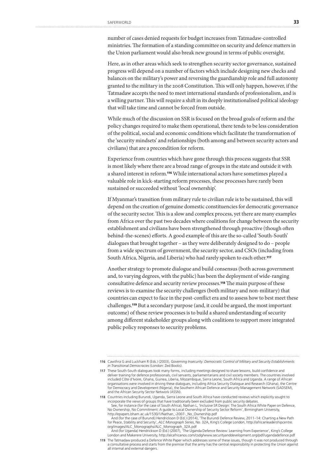number of cases denied requests for budget increases from Tatmadaw-controlled ministries. The formation of a standing committee on security and defence matters in the Union parliament would also break new ground in terms of public oversight.

Here, as in other areas which seek to strengthen security sector governance, sustained progress will depend on a number of factors which include designing new checks and balances on the military's power and reversing the guardianship role and full autonomy granted to the military in the 2008 Constitution. This will only happen, however, if the Tatmadaw accepts the need to meet international standards of professionalism, and is a willing partner. This will require a shift in its deeply institutionalised political ideology that will take time and cannot be forced from outside.

While much of the discussion on SSR is focused on the broad goals of reform and the policy changes required to make them operational, there tends to be less consideration of the political, social and economic conditions which facilitate the transformation of the 'security mindsets' and relationships (both among and between security actors and civilians) that are a precondition for reform.

Experience from countries which have gone through this process suggests that SSR is most likely where there are a broad range of groups in the state and outside it with a shared interest in reform.116 While international actors have sometimes played a valuable role in kick-starting reform processes, these processes have rarely been sustained or succeeded without 'local ownership'.

If Myanmar's transition from military rule to civilian rule is to be sustained, this will depend on the creation of genuine domestic constituencies for democratic governance of the security sector. This is a slow and complex process, yet there are many examples from Africa over the past two decades where coalitions for change between the security establishment and civilians have been strengthened through proactive (though often behind-the-scenes) efforts. A good example of this are the so-called 'South-South' dialogues that brought together – as they were deliberately designed to do – people from a wide spectrum of government, the security sector, and CSOs (including from South Africa, Nigeria, and Liberia) who had rarely spoken to each other.<sup>117</sup>

Another strategy to promote dialogue and build consensus (both across government and, to varying degrees, with the public) has been the deployment of wide-ranging consultative defence and security review processes.118 The main purpose of these reviews is to examine the security challenges (both military and non-military) that countries can expect to face in the post-conflict era and to assess how to best meet these challenges.119 But a secondary purpose (and, it could be argued, the most important outcome) of these review processes is to build a shared understanding of security among different stakeholder groups along with coalitions to support more integrated public policy responses to security problems.

**<sup>116</sup>** Cawthra G and Luckham R (Eds.) (2003), *Governing Insecurity: Democratic Control of Military and Security Establishments in Transitional Democracies* (London: Zed Books).

**<sup>117</sup>** These South-South dialogues took many forms, including meetings designed to share lessons, build confidence and deliver training for defence professionals, civil servants, parliamentarians and civil society members. The countries involved included Côte d'Ivoire, Ghana, Guinea, Liberia, Mozambique, Sierra Leone, South Africa and Uganda. A range of African organisations were involved in driving these dialogues, including Africa Security Dialogue and Research (Ghana), the Centre for Democracy and Development (Nigeria), the Southern African Defence and Security Management Network (SADSEM), and the African Security Sector Network (ASSN).

**<sup>118</sup>** Countries including Burundi, Uganda, Sierra Leone and South Africa have conducted reviews which explicitly sought to incorporate the views of groups that have traditionally been excluded from public security debates. See, for instance (for the case of South Africa), Nathan L, 'Inclusive SR Design: The South Africa White Paper on Defence, No Ownership, No Commitment: A guide to Local Ownership of Security Sector Reform', Birmingham University, http://epapers.bham.ac.uk/1530/1/Nathan\_-2007-\_No\_Ownership.pdf

And (for the case of Burundi) Hendrickson D (Ed.) (2014), 'The Burundi Defence Review, 2011–14: Charting a New Path for Peace, Stability and Security', *ALC Monograph Series*, No. 32A, King's College London, http://africanleadershipcentre. org/images/ALC\_Monographs/ALC\_Monograph\_32A.pdf

And (for Uganda) Hendrickson D (Ed.) (2007), 'The Uganda Defence Review: Learning from Experience', King's College London and Makerere University, http://alcafricanos.com/csdg/www.securityanddevelopment.org/pdf/ugandadefence.pdf

**<sup>119</sup>** The Tatmadaw produced a Defence White Paper which addresses some of these issues, though it was not produced through a consultative process and starts from the premise that the army has the central responsibility in protecting the Union against all internal and external dangers.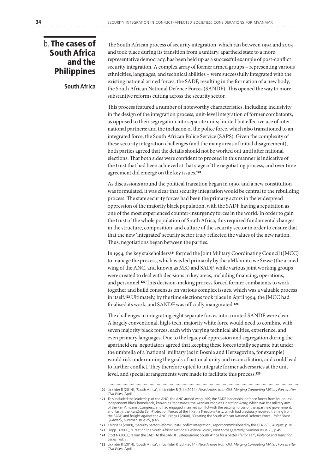### b. The cases of South Africa and the **Philippines**

**South Africa** 

The South African process of security integration, which ran between 1994 and 2003 and took place during its transition from a unitary, apartheid state to a more representative democracy, has been held up as a successful example of post-conflict security integration. A complex array of former armed groups – representing various ethnicities, languages, and technical abilities – were successfully integrated with the existing national armed forces, the SADF, resulting in the formation of a new body, the South African National Defence Forces (SANDF). This opened the way to more substantive reforms cutting across the security sector.

This process featured a number of noteworthy characteristics, including: inclusivity in the design of the integration process; unit-level integration of former combatants, as opposed to their segregation into separate units; limited but effective use of international partners; and the inclusion of the police force, which also transitioned to an integrated force, the South African Police Service (SAPS). Given the complexity of these security integration challenges (and the many areas of initial disagreement), both parties agreed that the details should not be worked out until after national elections. That both sides were confident to proceed in this manner is indicative of the trust that had been achieved at that stage of the negotiating process, and over time agreement did emerge on the key issues.<sup>120</sup>

As discussions around the political transition began in 1990, and a new constitution was formulated, it was clear that security integration would be central to the rebuilding process. The state security forces had been the primary actors in the widespread oppression of the majority black population, with the SADF having a reputation as one of the most experienced counter-insurgency forces in the world. In order to gain the trust of the whole population of South Africa, this required fundamental changes in the structure, composition, and culture of the security sector in order to ensure that that the new 'integrated' security sector truly reflected the values of the new nation. Thus, negotiations began between the parties.

In 1994, the key stakeholders<sup>121</sup> formed the Joint Military Coordinating Council (JMCC) to manage the process, which was led primarily by the uMkhonto we Sizwe (the armed wing of the ANC, and known as MK) and SADF, while various joint working groups were created to deal with decisions in key areas, including financing, operations, and personnel.122 This decision-making process forced former combatants to work together and build consensus on various complex issues, which was a valuable process in itself.123 Ultimately, by the time elections took place in April 1994, the JMCC had finalised its work, and SANDF was officially inaugurated.<sup>124</sup>

The challenges in integrating eight separate forces into a united SANDF were clear. A largely conventional, high-tech, majority white force would need to combine with seven majority black forces, each with varying technical abilities, experience, and even primary languages. Due to the legacy of oppression and segregation during the apartheid era, negotiators agreed that keeping these forces totally separate but under the umbrella of a 'national' military (as in Bosnia and Herzegovina, for example) would risk undermining the goals of national unity and reconciliation, and could lead to further conflict. They therefore opted to integrate former adversaries at the unit level, and special arrangements were made to facilitate this process.<sup>125</sup>

**<sup>120</sup>** Licklider R (2014), 'South Africa', in Licklider R (Ed.) (2014), *New Armies from Old: Merging Competing Military Forces after Civil Wars*, April.

<sup>121</sup> This included the leadership of the ANC; the ANC armed wing, MK; the SADF leadership; defence forces from four quasiindependent black homelands, known as *Bantustans*; the Azanian People's Liberation Army, which was the military arm of the Pan Africanist Congress, and had engaged in armed conflict with the security forces of the apartheid government; and, lastly, the KwaZulu Self-Protection Forces of the Inkatha Freedom Party, which had previously received training from<br>the SADF, and fought against the ANC. Higgs J (2000), 'Creating the South African National Defence F *Quarterly*, Summer Issue 25, p 45.

**<sup>122</sup>** Knight M (2009), 'Security Sector Reform: Post-Conflict Integration', report commissioned by the GFN-SSR, August, p 18.

**<sup>123</sup>** Higgs J (2000), 'Creating the South African National Defence Force', *Joint Force Quarterly*, Summer Issue 25, p 45.

**<sup>124</sup>** Stott N (2002), 'From the SADF to the SANDF: Safeguarding South Africa for a better life for all?', *Violence and Transition Series*, vol. 7.

**<sup>125</sup>** Licklider R (2014), 'South Africa', in Licklider R (Ed.) (2014), *New Armies from Old: Merging Competing Military Forces after Civil Wars*, April.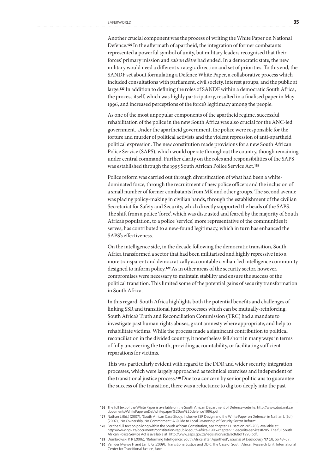Another crucial component was the process of writing the White Paper on National Defence.126 In the aftermath of apartheid, the integration of former combatants represented a powerful symbol of unity, but military leaders recognised that their forces' primary mission and *raison d'être* had ended. In a democratic state, the new military would need a different strategic direction and set of priorities. To this end, the SANDF set about formulating a Defence White Paper, a collaborative process which included consultations with parliament, civil society, interest groups, and the public at large.127 In addition to defining the roles of SANDF within a democratic South Africa, the process itself, which was highly participatory, resulted in a finalised paper in May 1996, and increased perceptions of the force's legitimacy among the people.

As one of the most unpopular components of the apartheid regime, successful rehabilitation of the police in the new South Africa was also crucial for the ANC-led government. Under the apartheid government, the police were responsible for the torture and murder of political activists and the violent repression of anti-apartheid political expression. The new constitution made provisions for a new South African Police Service (SAPS), which would operate throughout the country, though remaining under central command. Further clarity on the roles and responsibilities of the SAPS was established through the 1995 South African Police Service Act.<sup>128</sup>

Police reform was carried out through diversification of what had been a whitedominated force, through the recruitment of new police officers and the inclusion of a small number of former combatants from MK and other groups. The second avenue was placing policy-making in civilian hands, through the establishment of the civilian Secretariat for Safety and Security, which directly supported the heads of the SAPS. The shift from a police 'force', which was distrusted and feared by the majority of South Africa's population, to a police 'service', more representative of the communities it serves, has contributed to a new-found legitimacy, which in turn has enhanced the SAPS's effectiveness.

On the intelligence side, in the decade following the democratic transition, South Africa transformed a sector that had been militarised and highly repressive into a more transparent and democratically accountable civilian-led intelligence community designed to inform policy.129 As in other areas of the security sector, however, compromises were necessary to maintain stability and ensure the success of the political transition. This limited some of the potential gains of security transformation in South Africa.

In this regard, South Africa highlights both the potential benefits and challenges of linking SSR and transitional justice processes which can be mutually-reinforcing. South Africa's Truth and Reconciliation Commission (TRC) had a mandate to investigate past human rights abuses, grant amnesty where appropriate, and help to rehabilitate victims. While the process made a significant contribution to political reconciliation in the divided country, it nonetheless fell short in many ways in terms of fully uncovering the truth, providing accountability, or facilitating sufficient reparations for victims.

This was particularly evident with regard to the DDR and wider security integration processes, which were largely approached as technical exercises and independent of the transitional justice process.130 Due to a concern by senior politicians to guarantee the success of the transition, there was a reluctance to dig too deeply into the past

**<sup>126</sup>** The full text of the White Paper is available on the South African Department of Defence website: http://www.dod.mil.za/ documents/WhitePaperonDef/whitepaper%20on%20defence1996.pdf.

**<sup>127</sup>** Nathan L (Ed.) (2007), 'South African Case Study: Inclusive SSR Design and the White Paper on Defence' in Nathan L (Ed.) (2007), 'No Ownership, No Commitment: A Guide to Local Ownership of Security Sector Reform'.

**<sup>128</sup>** For the full text on policing within the South African Constitution, see chapter 11, section 205-208, available at: http://www.gov.za/documents/constitution-republic-south-africa-1996-chapter-11-security-services#205. The full South African Police Service Act is available at: http://www.saps.gov.za/legislation/acts/act68of1995.pdf.

**<sup>129</sup>** Dombrowski K R (2006), 'Reforming Intelligence: South Africa after Apartheid', *Journal of Democracy* **17** (3), pp 43–57.

**<sup>130</sup>** Van der Merwe H and Lamb G (2009), 'Transitional Justice and DDR: The Case of South Africa', Research Unit, International Center for Transitional Justice, June.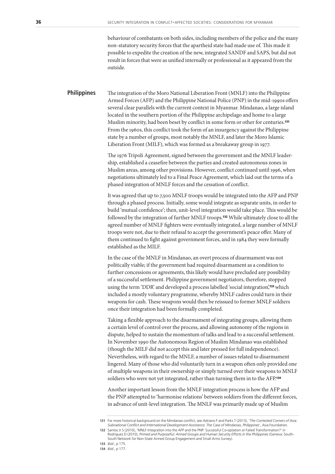behaviour of combatants on both sides, including members of the police and the many non-statutory security forces that the apartheid state had made use of. This made it possible to expedite the creation of the new, integrated SANDF and SAPS, but did not result in forces that were as unified internally or professional as it appeared from the outside.

The integration of the Moro National Liberation Front (MNLF) into the Philippine Armed Forces (AFP) and the Philippine National Police (PNP) in the mid-1990s offers several clear parallels with the current context in Myanmar. Mindanao, a large island located in the southern portion of the Philippine archipelago and home to a large Muslim minority, had been beset by conflict in some form or other for centuries.<sup>131</sup> From the 1960s, this conflict took the form of an insurgency against the Philippine state by a number of groups, most notably the MNLF, and later the Moro Islamic Liberation Front (MILF), which was formed as a breakaway group in 1977. **Philippines** 

> The 1976 Tripoli Agreement, signed between the government and the MNLF leadership, established a ceasefire between the parties and created autonomous zones in Muslim areas, among other provisions. However, conflict continued until 1996, when negotiations ultimately led to a Final Peace Agreement, which laid out the terms of a phased integration of MNLF forces and the cessation of conflict.

It was agreed that up to 7,500 MNLF troops would be integrated into the AFP and PNP through a phased process. Initially, some would integrate as separate units, in order to build 'mutual confidence'; then, unit-level integration would take place. This would be followed by the integration of further MNLF troops.132 While ultimately close to all the agreed number of MNLF fighters were eventually integrated, a large number of MNLF troops were not, due to their refusal to accept the government's peace offer. Many of them continued to fight against government forces, and in 1984 they were formally established as the MILF.

In the case of the MNLF in Mindanao, an overt process of disarmament was not politically viable; if the government had required disarmament as a condition to further concessions or agreements, this likely would have precluded any possibility of a successful settlement. Philippine government negotiators, therefore, stopped using the term 'DDR' and developed a process labelled 'social integration',133 which included a mostly voluntary programme, whereby MNLF cadres could turn in their weapons for cash. These weapons would then be reissued to former MNLF soldiers once their integration had been formally completed.

Taking a flexible approach to the disarmament of integrating groups, allowing them a certain level of control over the process, and allowing autonomy of the regions in dispute, helped to sustain the momentum of talks and lead to a successful settlement. In November 1990 the Autonomous Region of Muslim Mindanao was established (though the MILF did not accept this and later pressed for full independence). Nevertheless, with regard to the MNLF, a number of issues related to disarmament lingered. Many of those who did voluntarily turn in a weapon often only provided one of multiple weapons in their ownership or simply turned over their weapons to MNLF soldiers who were not yet integrated, rather than turning them in to the AFP.<sup>134</sup>

Another important lesson from the MNLF integration process is how the AFP and the PNP attempted to 'harmonise relations' between soldiers from the different forces, in advance of unit-level integration. The MNLF was primarily made up of Muslim

**<sup>131</sup>** For more historical background on the Mindanao conflict, see Adriano F and Parks T (2013), '*The Contested Corners of Asia: Subnational Conflict and International Development Assistance. The Case of Mindanao, Philippines*', Asia Foundation.

**<sup>132</sup>** Santos Jr S (2010), 'MNLF Integration into the AFP and the PNP: Successful Co-optation or Failed Transformation?' in Rodriguez D (2010), *Primed and Purposeful: Armed Groups and Human Security Efforts in the Philippines* (Geneva: South-South Network for Non-State Armed Group Engagement and Small Arms Survey).

**<sup>133</sup>** *Ibid*., p 175.

**<sup>134</sup>** *Ibid.*, p 177.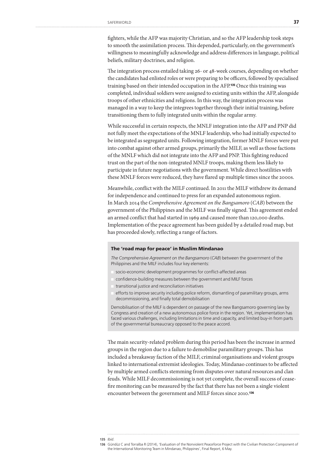fighters, while the AFP was majority Christian, and so the AFP leadership took steps to smooth the assimilation process. This depended, particularly, on the government's willingness to meaningfully acknowledge and address differences in language, political beliefs, military doctrines, and religion.

The integration process entailed taking 26- or 48-week courses, depending on whether the candidates had enlisted roles or were preparing to be officers, followed by specialised training based on their intended occupation in the AFP.135 Once this training was completed, individual soldiers were assigned to existing units within the AFP, alongside troops of other ethnicities and religions. In this way, the integration process was managed in a way to keep the integrees together through their initial training, before transitioning them to fully integrated units within the regular army.

While successful in certain respects, the MNLF integration into the AFP and PNP did not fully meet the expectations of the MNLF leadership, who had initially expected to be integrated as segregated units. Following integration, former MNLF forces were put into combat against other armed groups, primarily the MILF, as well as those factions of the MNLF which did not integrate into the AFP and PNP. This fighting reduced trust on the part of the non-integrated MNLF troops, making them less likely to participate in future negotiations with the government. While direct hostilities with these MNLF forces were reduced, they have flared up multiple times since the 2000s.

Meanwhile, conflict with the MILF continued. In 2011 the MILF withdrew its demand for independence and continued to press for an expanded autonomous region. In March 2014 the *Comprehensive Agreement on the Bangsamoro* (*CAB*) between the government of the Philippines and the MILF was finally signed. This agreement ended an armed conflict that had started in 1969 and caused more than 120,000 deaths. Implementation of the peace agreement has been guided by a detailed road map, but has proceeded slowly, reflecting a range of factors.

### The 'road map for peace' in Muslim Mindanao

*The Comprehensive Agreement on the Bangsamoro* (*CAB*) between the government of the Philippines and the MILF includes four key elements:

- socio-economic development programmes for conflict-affected areas
- confidence-building measures between the government and MILF forces
- transitional justice and reconciliation initiatives
- efforts to improve security including police reform, dismantling of paramilitary groups, arms decommissioning, and finally total demobilisation

Demobilisation of the MILF is dependent on passage of the new Bangsamoro governing law by Congress and creation of a new autonomous police force in the region. Yet, implementation has faced various challenges, including limitations in time and capacity, and limited buy-in from parts of the governmental bureaucracy opposed to the peace accord.

The main security-related problem during this period has been the increase in armed groups in the region due to a failure to demobilise paramilitary groups. This has included a breakaway faction of the MILF, criminal organisations and violent groups linked to international extremist ideologies. Today, Mindanao continues to be affected by multiple armed conflicts stemming from disputes over natural resources and clan feuds. While MILF decommissioning is not yet complete, the overall success of ceasefire monitoring can be measured by the fact that there has not been a single violent encounter between the government and MILF forces since 2010.136

statistica

**<sup>135</sup>** *Ibid*.

**<sup>136</sup>** Gündüz C and Torralba R (2014), 'Evaluation of the Nonviolent Peaceforce Project with the Civilian Protection Component of the International Monitoring Team in Mindanao, Philippines', Final Report, 6 May.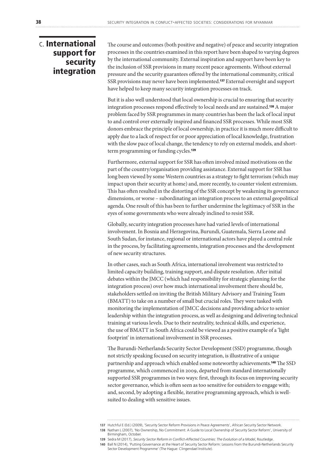### c. International support for security integration

The course and outcomes (both positive and negative) of peace and security integration processes in the countries examined in this report have been shaped to varying degrees by the international community. External inspiration and support have been key to the inclusion of SSR provisions in many recent peace agreements. Without external pressure and the security guarantees offered by the international community, critical SSR provisions may never have been implemented.137 External oversight and support have helped to keep many security integration processes on track.

But it is also well understood that local ownership is crucial to ensuring that security integration processes respond effectively to local needs and are sustained.138 A major problem faced by SSR programmes in many countries has been the lack of local input to and control over externally inspired and financed SSR processes. While most SSR donors embrace the principle of local ownership, in practice it is much more difficult to apply due to a lack of respect for or poor appreciation of local knowledge, frustration with the slow pace of local change, the tendency to rely on external models, and shortterm programming or funding cycles.<sup>139</sup>

Furthermore, external support for SSR has often involved mixed motivations on the part of the country/organisation providing assistance. External support for SSR has long been viewed by some Western countries as a strategy to fight terrorism (which may impact upon their security at home) and, more recently, to counter violent extremism. This has often resulted in the distorting of the SSR concept by weakening its governance dimensions, or worse – subordinating an integration process to an external geopolitical agenda. One result of this has been to further undermine the legitimacy of SSR in the eyes of some governments who were already inclined to resist SSR.

Globally, security integration processes have had varied levels of international involvement. In Bosnia and Herzegovina, Burundi, Guatemala, Sierra Leone and South Sudan, for instance, regional or international actors have played a central role in the process, by facilitating agreements, integration processes and the development of new security structures.

In other cases, such as South Africa, international involvement was restricted to limited capacity building, training support, and dispute resolution. After initial debates within the JMCC (which had responsibility for strategic planning for the integration process) over how much international involvement there should be, stakeholders settled on inviting the British Military Advisory and Training Team (BMATT) to take on a number of small but crucial roles. They were tasked with monitoring the implementation of JMCC decisions and providing advice to senior leadership within the integration process, as well as designing and delivering technical training at various levels. Due to their neutrality, technical skills, and experience, the use of BMATT in South Africa could be viewed as a positive example of a 'light footprint' in international involvement in SSR processes.

The Burundi-Netherlands Security Sector Development (SSD) programme, though not strictly speaking focused on security integration, is illustrative of a unique partnership and approach which enabled some noteworthy achievements.140 The SSD programme, which commenced in 2009, departed from standard internationally supported SSR programmes in two ways: first, through its focus on improving security sector governance, which is often seen as too sensitive for outsiders to engage with; and, second, by adopting a flexible, iterative programming approach, which is wellsuited to dealing with sensitive issues.

**<sup>137</sup>** Hutchful E (Ed.) (2009), 'Security Sector Reform Provisions in Peace Agreements', African Security Sector Network. **138** Nathan L (2007), 'No Ownership, No Commitment: A Guide to Local Ownership of Security Sector Reform', University of Birmingham, October.

**<sup>139</sup>** Sedra M (2017), *Security Sector Reform in Conflict-Affected Countries: The Evolution of a Model*, Routledge.

**<sup>140</sup>** Ball N (2014), 'Putting Governance at the Heart of Security Sector Reform: Lessons from the Burundi-Netherlands Security Sector Development Programme' (The Hague: Clingendael Institute).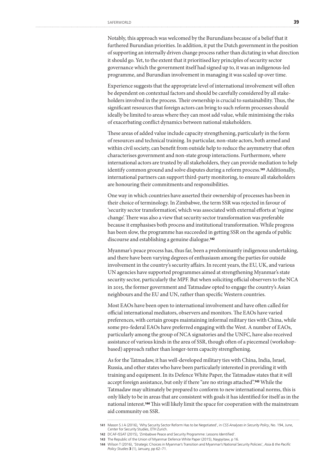Notably, this approach was welcomed by the Burundians because of a belief that it furthered Burundian priorities. In addition, it put the Dutch government in the position of supporting an internally driven change process rather than dictating in what direction it should go. Yet, to the extent that it prioritised key principles of security sector governance which the government itself had signed up to, it was an indigenous-led programme, and Burundian involvement in managing it was scaled up over time.

Experience suggests that the appropriate level of international involvement will often be dependent on contextual factors and should be carefully considered by all stakeholders involved in the process. Their ownership is crucial to sustainability. Thus, the significant resources that foreign actors can bring to such reform processes should ideally be limited to areas where they can most add value, while minimising the risks of exacerbating conflict dynamics between national stakeholders.

These areas of added value include capacity strengthening, particularly in the form of resources and technical training. In particular, non-state actors, both armed and within civil society, can benefit from outside help to reduce the asymmetry that often characterises government and non-state group interactions. Furthermore, where international actors are trusted by all stakeholders, they can provide mediation to help identify common ground and solve disputes during a reform process.141 Additionally, international partners can support third-party monitoring, to ensure all stakeholders are honouring their commitments and responsibilities.

One way in which countries have asserted their ownership of processes has been in their choice of terminology. In Zimbabwe, the term SSR was rejected in favour of 'security sector transformation', which was associated with external efforts at 'regime change'. There was also a view that security sector transformation was preferable because it emphasises both process and institutional transformation. While progress has been slow, the programme has succeeded in getting SSR on the agenda of public discourse and establishing a genuine dialogue.<sup>142</sup>

Myanmar's peace process has, thus far, been a predominantly indigenous undertaking, and there have been varying degrees of enthusiasm among the parties for outside involvement in the country's security affairs. In recent years, the EU, UK, and various UN agencies have supported programmes aimed at strengthening Myanmar's state security sector, particularly the MPF. But when soliciting official observers to the NCA in 2015, the former government and Tatmadaw opted to engage the country's Asian neighbours and the EU and UN, rather than specific Western countries.

Most EAOs have been open to international involvement and have often called for official international mediators, observers and monitors. The EAOs have varied preferences, with certain groups maintaining informal military ties with China, while some pro-federal EAOs have preferred engaging with the West. A number of EAOs, particularly among the group of NCA signatories and the UNFC, have also received assistance of various kinds in the area of SSR, though often of a piecemeal (workshopbased) approach rather than longer-term capacity strengthening.

As for the Tatmadaw, it has well-developed military ties with China, India, Israel, Russia, and other states who have been particularly interested in providing it with training and equipment. In its Defence White Paper, the Tatmadaw states that it will accept foreign assistance, but only if there "are no strings attached".143 While the Tatmadaw may ultimately be prepared to conform to new international norms, this is only likely to be in areas that are consistent with goals it has identified for itself as in the national interest.144 This will likely limit the space for cooperation with the mainstream aid community on SSR.

**<sup>141</sup>** Mason S J A (2016), 'Why Security Sector Reform Has to be Negotiated', in *CSS Analyses in Security Policy*, No. 194, June, Center for Security Studies, ETH Zurich.

**<sup>142</sup>** DCAF-ISSAT (2015), 'Zimbabwe Peace and Security Programme: Lessons Identified'.

**<sup>143</sup>** The Republic of the Union of Myanmar Defence White Paper (2015), Naypyitaw, p 16.

**<sup>144</sup>** Wilson T (2016), 'Strategic Choices in Myanmar's Transition and Myanmar's National Security Policies', *Asia & the Pacific Policy Studies* **3** (1), January, pp 62–71.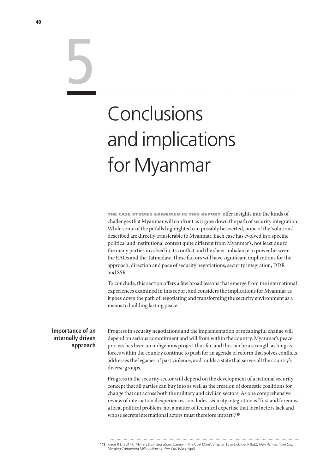# Conclusions and implications for Myanmar

the case studies examined in this report offer insights into the kinds of challenges that Myanmar will confront as it goes down the path of security integration. While some of the pitfalls highlighted can possibly be averted, none of the 'solutions' described are directly transferable to Myanmar. Each case has evolved in a specific political and institutional context quite different from Myanmar's, not least due to the many parties involved in its conflict and the sheer imbalance in power between the EAOs and the Tatmadaw. These factors will have significant implications for the approach, direction and pace of security negotiations, security integration, DDR and SSR.

To conclude, this section offers a few broad lessons that emerge from the international experiences examined in this report and considers the implications for Myanmar as it goes down the path of negotiating and transforming the security environment as a means to building lasting peace.

### **Importance of an internally driven approach**

Progress in security negotiations and the implementation of meaningful change will depend on serious commitment and will from within the country. Myanmar's peace process has been an indigenous project thus far, and this can be a strength as long as forces within the country continue to push for an agenda of reform that solves conflicts, addresses the legacies of past violence, and builds a state that serves all the country's diverse groups.

Progress in the security sector will depend on the development of a national security concept that all parties can buy into as well as the creation of domestic coalitions for change that cut across both the military and civilian sectors. As one comprehensive review of international experiences concludes, security integration is "first and foremost a local political problem, not a matter of technical expertise that local actors lack and whose secrets international actors must therefore impart".<sup>145</sup>

5

**<sup>145</sup>** Krebs R E (2014), 'Military Dis-integration: Canary in the Coal Mine', chapter 15 in Licklider R (Ed.), *New Armies from Old: Merging Competing Military Forces after Civil Wars*, April.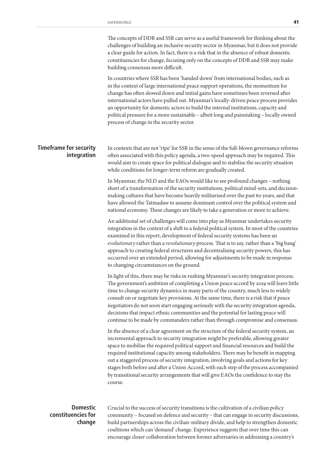|                                                 | The concepts of DDR and SSR can serve as a useful framework for thinking about the<br>challenges of building an inclusive security sector in Myanmar, but it does not provide<br>a clear guide for action. In fact, there is a risk that in the absence of robust domestic<br>constituencies for change, focusing only on the concepts of DDR and SSR may make<br>building consensus more difficult.                                                                                                                                                                                                                                                |
|-------------------------------------------------|-----------------------------------------------------------------------------------------------------------------------------------------------------------------------------------------------------------------------------------------------------------------------------------------------------------------------------------------------------------------------------------------------------------------------------------------------------------------------------------------------------------------------------------------------------------------------------------------------------------------------------------------------------|
|                                                 | In countries where SSR has been 'handed down' from international bodies, such as<br>in the context of large international peace support operations, the momentum for<br>change has often slowed down and initial gains have sometimes been reversed after<br>international actors have pulled out. Myanmar's locally-driven peace process provides<br>an opportunity for domestic actors to build the internal institutions, capacity and<br>political pressure for a more sustainable - albeit long and painstaking - locally owned<br>process of change in the security sector.                                                                   |
| <b>Timeframe for security</b><br>integration    | In contexts that are not 'ripe' for SSR in the sense of the full-blown governance reforms<br>often associated with this policy agenda, a two-speed approach may be required. This<br>would aim to create space for political dialogue and to stabilise the security situation<br>while conditions for longer-term reform are gradually created.                                                                                                                                                                                                                                                                                                     |
|                                                 | In Myanmar, the NLD and the EAOs would like to see profound changes - nothing<br>short of a transformation of the security institutions, political mind-sets, and decision-<br>making cultures that have become heavily militarised over the past 60 years, and that<br>have allowed the Tatmadaw to assume dominant control over the political system and<br>national economy. These changes are likely to take a generation or more to achieve.                                                                                                                                                                                                   |
|                                                 | An additional set of challenges will come into play as Myanmar undertakes security<br>integration in the context of a shift to a federal political system. In most of the countries<br>examined in this report, development of federal security systems has been an<br>evolutionary rather than a revolutionary process. That is to say, rather than a 'big bang'<br>approach to creating federal structures and decentralising security powers, this has<br>occurred over an extended period, allowing for adjustments to be made in response<br>to changing circumstances on the ground.                                                          |
|                                                 | In light of this, there may be risks in rushing Myanmar's security integration process.<br>The government's ambition of completing a Union peace accord by 2019 will leave little<br>time to change security dynamics in many parts of the country, much less to widely<br>consult on or negotiate key provisions. At the same time, there is a risk that if peace<br>negotiators do not soon start engaging seriously with the security integration agenda,<br>decisions that impact ethnic communities and the potential for lasting peace will<br>continue to be made by commanders rather than through compromise and consensus.                |
|                                                 | In the absence of a clear agreement on the structure of the federal security system, an<br>incremental approach to security integration might be preferable, allowing greater<br>space to mobilise the required political support and financial resources and build the<br>required institutional capacity among stakeholders. There may be benefit in mapping<br>out a staggered process of security integration, involving goals and actions for key<br>stages both before and after a Union Accord, with each step of the process accompanied<br>by transitional security arrangements that will give EAOs the confidence to stay the<br>course. |
| <b>Domestic</b><br>constituencies for<br>change | Crucial to the success of security transitions is the cultivation of a civilian policy<br>community - focused on defence and security - that can engage in security discussions,<br>build partnerships across the civilian-military divide, and help to strengthen domestic                                                                                                                                                                                                                                                                                                                                                                         |

build partnerships across the civilian-military divide, and help to strengthen domestic coalitions which can 'demand' change. Experience suggests that over time this can encourage closer collaboration between former adversaries in addressing a country's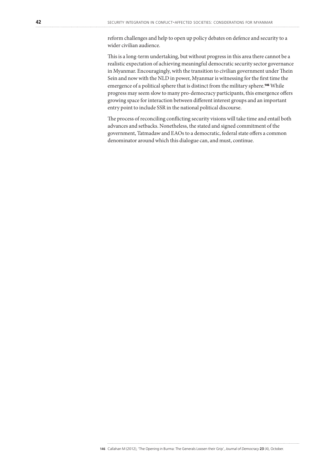reform challenges and help to open up policy debates on defence and security to a wider civilian audience.

This is a long-term undertaking, but without progress in this area there cannot be a realistic expectation of achieving meaningful democratic security sector governance in Myanmar. Encouragingly, with the transition to civilian government under Thein Sein and now with the NLD in power, Myanmar is witnessing for the first time the emergence of a political sphere that is distinct from the military sphere.146 While progress may seem slow to many pro-democracy participants, this emergence offers growing space for interaction between different interest groups and an important entry point to include SSR in the national political discourse.

The process of reconciling conflicting security visions will take time and entail both advances and setbacks. Nonetheless, the stated and signed commitment of the government, Tatmadaw and EAOs to a democratic, federal state offers a common denominator around which this dialogue can, and must, continue.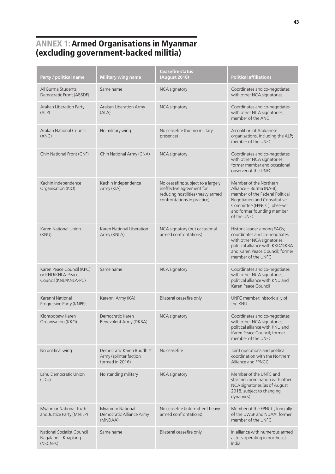### ANNEX 1: Armed Organisations in Myanmar (excluding government-backed militia)

| Party / political name                                                  | <b>Military wing name</b>                                              | <b>Ceasefire status</b><br>(August 2018)                                                                                            | <b>Political affiliations</b>                                                                                                                                                                     |
|-------------------------------------------------------------------------|------------------------------------------------------------------------|-------------------------------------------------------------------------------------------------------------------------------------|---------------------------------------------------------------------------------------------------------------------------------------------------------------------------------------------------|
| All Burma Students<br>Democratic Front (ABSDF)                          | Same name                                                              | <b>NCA</b> signatory                                                                                                                | Coordinates and co-negotiates<br>with other NCA signatories                                                                                                                                       |
| Arakan Liberation Party<br>(ALP)                                        | Arakan Liberation Army<br>(ALA)                                        | <b>NCA</b> signatory                                                                                                                | Coordinates and co-negotiates<br>with other NCA signatories;<br>member of the ANC                                                                                                                 |
| Arakan National Council<br>(ANC)                                        | No military wing                                                       | No ceasefire (but no military<br>presence)                                                                                          | A coalition of Arakanese<br>organisations, including the ALP;<br>member of the UNFC                                                                                                               |
| Chin National Front (CNF)                                               | Chin National Army (CNA)                                               | <b>NCA</b> signatory                                                                                                                | Coordinates and co-negotiates<br>with other NCA signatories;<br>former member and occasional<br>observer of the UNFC                                                                              |
| Kachin Independence<br>Organisation (KIO)                               | Kachin Independence<br>Army (KIA)                                      | No ceasefire; subject to a largely<br>ineffective agreement for<br>reducing hostilities (heavy armed<br>confrontations in practice) | Member of the Northern<br>Alliance - Burma (NA-B);<br>member of the Federal Political<br>Negotiation and Consultative<br>Committee (FPNCC); observer<br>and former founding member<br>of the UNFC |
| Karen National Union<br>(KNU)                                           | Karen National Liberation<br>Army (KNLA)                               | NCA signatory (but occasional<br>armed confrontations)                                                                              | Historic leader among EAOs;<br>coordinates and co-negotiates<br>with other NCA signatories;<br>political alliance with KKO/DKBA<br>and Karen Peace Council; former<br>member of the UNFC          |
| Karen Peace Council (KPC)<br>or KNU/KNLA-Peace<br>Council (KNU/KNLA-PC) | Same name                                                              | <b>NCA</b> signatory                                                                                                                | Coordinates and co-negotiates<br>with other NCA signatories;<br>political alliance with KNU and<br>Karen Peace Council                                                                            |
| Karenni National<br>Progressive Party (KNPP)                            | Karenni Army (KA)                                                      | Bilateral ceasefire only                                                                                                            | UNFC member; historic ally of<br>the KNU                                                                                                                                                          |
| Klohtoobaw Karen<br>Organisation (KKO)                                  | Democratic Karen<br>Benevolent Army (DKBA)                             | NCA signatory                                                                                                                       | Coordinates and co-negotiates<br>with other NCA signatories;<br>political alliance with KNU and<br>Karen Peace Council; former<br>member of the UNFC                                              |
| No political wing                                                       | Democratic Karen Buddhist<br>Army (splinter faction<br>formed in 2016) | No ceasefire                                                                                                                        | Joint operations and political<br>coordination with the Northern<br>Alliance and FPNCC                                                                                                            |
| Lahu Democratic Union<br>(LDU)                                          | No standing military                                                   | <b>NCA</b> signatory                                                                                                                | Member of the UNFC and<br>starting coordination with other<br>NCA signatories (as of August<br>2018, subject to changing<br>dynamics)                                                             |
| Myanmar National Truth<br>and Justice Party (MNTJP)                     | Myanmar National<br>Democratic Alliance Army<br>(MNDAA)                | No ceasefire (intermittent heavy<br>armed confrontations)                                                                           | Member of the FPNCC; long ally<br>of the UWSP and NDAA; former<br>member of the UNFC                                                                                                              |
| National Socialist Council<br>Nagaland - Khaplang<br>$(NSCN-K)$         | Same name                                                              | Bilateral ceasefire only                                                                                                            | In alliance with numerous armed<br>actors operating in northeast<br>India                                                                                                                         |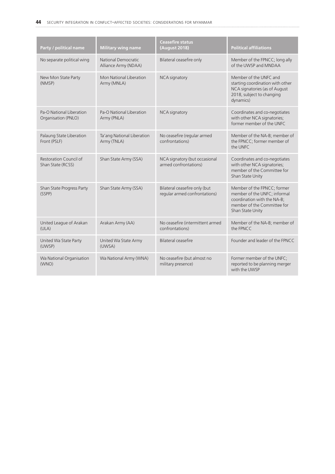| Party / political name                          | <b>Military wing name</b>                   | <b>Ceasefire status</b><br>(August 2018)                       | <b>Political affiliations</b>                                                                                                                 |
|-------------------------------------------------|---------------------------------------------|----------------------------------------------------------------|-----------------------------------------------------------------------------------------------------------------------------------------------|
| No separate political wing                      | National Democratic<br>Alliance Army (NDAA) | Bilateral ceasefire only                                       | Member of the FPNCC; long ally<br>of the UWSP and MNDAA                                                                                       |
| New Mon State Party<br>(NMSP)                   | Mon National Liberation<br>Army (MNLA)      | NCA signatory                                                  | Member of the UNFC and<br>starting coordination with other<br>NCA signatories (as of August<br>2018, subject to changing<br>dynamics)         |
| Pa-O National Liberation<br>Organisation (PNLO) | Pa-O National Liberation<br>Army (PNLA)     | <b>NCA</b> signatory                                           | Coordinates and co-negotiates<br>with other NCA signatories;<br>former member of the UNFC                                                     |
| Palaung State Liberation<br>Front (PSLF)        | Ta'ang National Liberation<br>Army (TNLA)   | No ceasefire (regular armed<br>confrontations)                 | Member of the NA-B; member of<br>the FPNCC; former member of<br>the UNFC                                                                      |
| Restoration Council of<br>Shan State (RCSS)     | Shan State Army (SSA)                       | NCA signatory (but occasional<br>armed confrontations)         | Coordinates and co-negotiates<br>with other NCA signatories;<br>member of the Committee for<br>Shan State Unity                               |
| Shan State Progress Party<br>(SSPP)             | Shan State Army (SSA)                       | Bilateral ceasefire only (but<br>regular armed confrontations) | Member of the FPNCC; former<br>member of the UNFC; informal<br>coordination with the NA-B;<br>member of the Committee for<br>Shan State Unity |
| United League of Arakan<br>(ULA)                | Arakan Army (AA)                            | No ceasefire (intermittent armed<br>confrontations)            | Member of the NA-B; member of<br>the FPNCC                                                                                                    |
| United Wa State Party<br>(UWSP)                 | United Wa State Army<br>(UWSA)              | <b>Bilateral ceasefire</b>                                     | Founder and leader of the FPNCC                                                                                                               |
| Wa National Organisation<br>(WNO)               | Wa National Army (WNA)                      | No ceasefire (but almost no<br>military presence)              | Former member of the UNFC;<br>reported to be planning merger<br>with the UWSP                                                                 |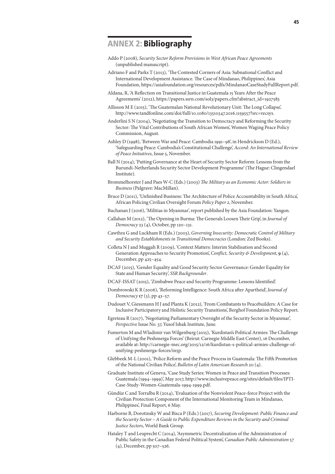### ANNEX 2: Bibliography

- Addo P (2008), *Security Sector Reform Provisions in West African Peace Agreements* (unpublished manuscript).
- Adriano F and Parks T (2013), 'The Contested Corners of Asia: Subnational Conflict and International Development Assistance. The Case of Mindanao, Philippines', Asia Foundation, https://asiafoundation.org/resources/pdfs/MindanaoCaseStudyFullReport.pdf.
- Aldana, R, 'A Reflection on Transitional Justice in Guatemala 15 Years After the Peace Agreements' (2012), https://papers.ssrn.com/sol3/papers.cfm?abstract\_id=1927583
- Allisson M E (2015), 'The Guatemalan National Revolutionary Unit: The Long Collapse', http://www.tandfonline.com/doi/full/10.1080/13510347.2016.1159557?src=recsys.
- Anderlini S N (2004), 'Negotiating the Transition to Democracy and Reforming the Security Sector: The Vital Contributions of South African Women', Women Waging Peace Policy Commission, August.
- Ashley D (1998), 'Between War and Peace: Cambodia 1991–98', in Hendrickson D (Ed.), 'Safeguarding Peace: Cambodia's Constitutional Challenge', *Accord: An International Review of Peace Initiatives*, Issue 5, November.
- Ball N (2014), 'Putting Governance at the Heart of Security Sector Reform: Lessons from the Burundi-Netherlands Security Sector Development Programme' (The Hague: Clingendael Institute).
- Brommelhorster J and Paes W-C (Eds.) (2003) *The Military as an Economic Actor: Soldiers in Business* (Palgrave: MacMillan).
- Bruce D (2011), 'Unfinished Business: The Architecture of Police Accountability in South Africa', African Policing Civilian Oversight Forum *Policy Paper 2*, November.
- Buchanan J (2016), 'Militias in Myanmar', report published by the Asia Foundation: Yangon.
- Callahan M (2012), 'The Opening in Burma: The Generals Loosen Their Grip', in *Journal of Democracy* 23 (4), October, pp 120–131.
- Cawthra G and Luckham R (Eds.) (2003), *Governing Insecurity: Democratic Control of Military and Security Establishments in Transitional Democracies* (London: Zed Books).
- Colleta N J and Muggah R (2009), 'Context Matters: Interim Stabilisation and Second Generation Approaches to Security Promotion', *Conflict, Security & Development*, **9** (4), December, pp 425–454.
- DCAF (2015), 'Gender Equality and Good Security Sector Governance: Gender Equality for State and Human Security', *SSR Backgrounder*.
- DCAF-ISSAT (2015), 'Zimbabwe Peace and Security Programme: Lessons Identified'.
- Dombrowski K R (2006), 'Reforming Intelligence: South Africa after Apartheid', *Journal of Democracy* **17** (3), pp 43–57.
- Dudouet V, Giessmann H J and Planta K (2012), 'From Combatants to Peacebuilders: A Case for Inclusive Participatory and Holistic Security Transitions', Berghof Foundation Policy Report.
- Egreteau R (2017), 'Negotiating Parliamentary Oversight of the Security Sector in Myanmar', *Perspective* Issue No. 37, Yusof Ishak Institute, June.
- Fumerton M and Wladimir van Wilgenburg (2015), 'Kurdistan's Political Armies: The Challenge of Unifying the Peshmerga Forces' (Beirut: Carnegie Middle East Center), 16 December, available at: http://carnegie-mec.org/2015/12/16/kurdistan-s-political-armies-challenge-ofunifying-peshmerga-forces/in5p.
- Glebbeek M-L (2001), 'Police Reform and the Peace Process in Guatemala: The Fifth Promotion of the National Civilian Police', *Bulletin of Latin American Research* 20 (4).
- Graduate Institute of Geneva, 'Case Study Series: Women in Peace and Transition Processes: Guatemala (1994–1999)', May 2017, http://www.inclusivepeace.org/sites/default/files/IPTI-Case-Study-Women-Guatemala-1994-1999.pdf.
- Gündüz C and Torralba R (2014), 'Evaluation of the Nonviolent Peace-force Project with the Civilian Protection Component of the International Monitoring Team in Mindanao, Philippines', Final Report, 6 May.
- Harborne B, Dorotinsky W and Bisca P (Eds.) (2017), *Securing Development: Public Finance and the Security Sector – A Guide to Public Expenditure Reviews in the Security and Criminal Justice Sectors*, World Bank Group.
- Hataley T and Leuprecht C (2014), 'Asymmetric Decentralization of the Administration of Public Safety in the Canadian Federal Political System', *Canadian Public Administration* 57 (4), December, pp 507–526.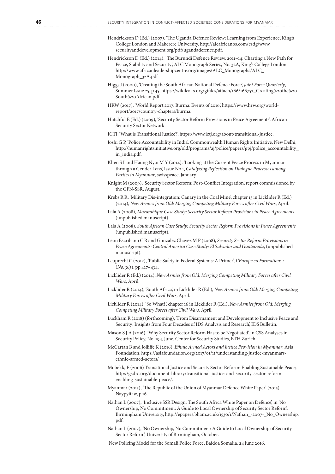- Hendrickson D (Ed.) (2007), 'The Uganda Defence Review: Learning from Experience', King's College London and Makerere University, http://alcafricanos.com/csdg/www. securityanddevelopment.org/pdf/ugandadefence.pdf.
- Hendrickson D (Ed.) (2014), 'The Burundi Defence Review, 2011–14: Charting a New Path for Peace, Stability and Security', ALC Monograph Series, No. 32A, King's College London. http://www.africanleadershipcentre.org/images/ALC\_Monographs/ALC\_ Monograph\_32A.pdf
- Higgs J (2000), 'Creating the South African National Defence Force', *Joint Force Quarterly*, Summer Issue 25, p 45, https://wikileaks.org/gifiles/attach/166/166752\_Creating%20the%20 South%20African.pdf
- HRW (2017), 'World Report 2017: Burma: Events of 2016', https://www.hrw.org/worldreport/2017/country-chapters/burma.
- Hutchful E (Ed.) (2009), 'Security Sector Reform Provisions in Peace Agreements', African Security Sector Network.

ICTJ, 'What is Transitional Justice?', https://www.ictj.org/about/transitional-justice.

- Joshi G P, 'Police Accountability in India', Commonwealth Human Rights Initiative, New Delhi, http://humanrightsinitiative.org/old/programs/aj/police/papers/gpj/police\_accountability\_ in\_india.pdf.
- Khen S I and Haung Nyoi M Y (2014), 'Looking at the Current Peace Process in Myanmar through a Gender Lens', Issue No 1, *Catalyzing Reflection on Dialogue Processes among Parties in Myanmar*, swisspeace, January.
- Knight M (2009), 'Security Sector Reform: Post-Conflict Integration', report commissioned by the GFN-SSR, August.
- Krebs R R, 'Military Dis-integration: Canary in the Coal Mine', chapter 15 in Licklider R (Ed.) (2014), *New Armies from Old: Merging Competing Military Forces after Civil Wars*, April.
- Lala A (2008), *Mozambique Case Study: Security Sector Reform Provisions in Peace Agreements* (unpublished manuscript).
- Lala A (2008), *South African Case Study: Security Sector Reform Provisions in Peace Agreements* (unpublished manuscript).
- Leon Escribano C R and Gonzalez Chavez M P (2008), *Security Sector Reform Provisions in Peace Agreements: Central America Case Study: El Salvador and Guatemala*, (unpublished manuscript).
- Leuprecht C (2012), 'Public Safety in Federal Systems: A Primer', *L'Europe en Formation: 1* (*No. 363*), pp 417–434.
- Licklider R (Ed.) (2014), *New Armies from Old: Merging Competing Military Forces after Civil Wars*, April.
- Licklider R (2014), 'South Africa', in Licklider R (Ed.), *New Armies from Old: Merging Competing Military Forces after Civil Wars*, April.
- Licklider R (2014), 'So What?', chapter 16 in Licklider R (Ed.), *New Armies from Old: Merging Competing Military Forces after Civil Wars*, April.
- Luckham R (2018) (forthcoming), 'From Disarmament and Development to Inclusive Peace and Security: Insights from Four Decades of IDS Analysis and Research', IDS Bulletin.
- Mason S J A (2016), 'Why Security Sector Reform Has to be Negotiated', in CSS Analyses in Security Policy, No. 194, June, Center for Security Studies, ETH Zurich.
- McCartan B and Jolliffe K (2016), *Ethnic Armed Actors and Justice Provision in Myanmar*, Asia Foundation, https://asiafoundation.org/2017/01/11/understanding-justice-myanmarsethnic-armed-actors/
- Mobekk, E (2006) Transitional Justice and Security Sector Reform: Enabling Sustainable Peace, http://gsdrc.org/document-library/transitional-justice-and-security-sector-reformenabling-sustainable-peace/.
- Myanmar (2015), 'The Republic of the Union of Myanmar Defence White Paper' (2015) Naypyitaw, p 16.
- Nathan L (2007), 'Inclusive SSR Design: The South Africa White Paper on Defence', in 'No Ownership, No Commitment: A Guide to Local Ownership of Security Sector Reform', Birmingham University, http://epapers.bham.ac.uk/1530/1/Nathan\_-2007-\_No\_Ownership. pdf.
- Nathan L (2007), 'No Ownership, No Commitment: A Guide to Local Ownership of Security Sector Reform', University of Birmingham, October.

'New Policing Model for the Somali Police Force', Baidoa Somalia, 24 June 2016.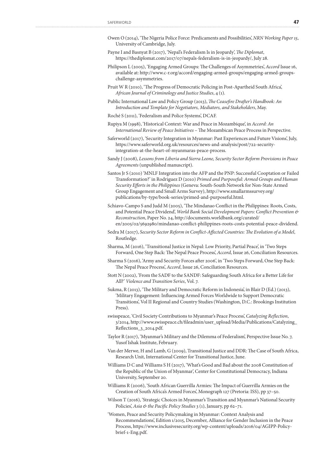- Owen O (2014), 'The Nigeria Police Force: Predicaments and Possibilities', *NRN Working Paper 15*, University of Cambridge, July.
- Payne I and Basnyat B (2017), 'Nepal's Federalism Is in Jeopardy', *The Diplomat*, https://thediplomat.com/2017/07/nepals-federalism-is-in-jeopardy/, July 28.
- Philipson L (2005), 'Engaging Armed Groups: The Challenges of Asymmetries', *Accord* Issue 16, available at: http://www.c-r.org/accord/engaging-armed-groups/engaging-armed-groupschallenge-asymmetries.
- Pruit W R (2010), 'The Progress of Democratic Policing in Post-Apartheid South Africa', *African Journal of Criminology and Justice Studies*, 4 (1).
- Public International Law and Policy Group (2013), *The Ceasefire Drafter's Handbook: An Introduction and Template for Negotiators, Mediators, and Stakeholders*, May.
- Roché S (2011), 'Federalism and Police Systems', DCAF.
- Rupiya M (1998), 'Historical Context: War and Peace in Mozambique', in *Accord: An International Review of Peace Initiatives* – The Mozambican Peace Process in Perspective.
- Saferworld (2017), 'Security Integration in Myanmar: Past Experiences and Future Visions', July, https://www.saferworld.org.uk/resources/news-and-analysis/post/722-securityintegration-at-the-heart-of-myanmaras-peace-process.
- Sandy J (2008), *Lessons from Liberia and Sierra Leone, Security Sector Reform Provisions in Peace Agreements* (unpublished manuscript).
- Santos Jr S (2010) 'MNLF Integration into the AFP and the PNP: Successful Cooptation or Failed Transformation?' in Rodriguez D (2010) *Primed and Purposeful: Armed Groups and Human Security Efforts in the Philippines* (Geneva: South-South Network for Non-State Armed Group Engagement and Small Arms Survey), http://www.smallarmssurvey.org/ publications/by-type/book-series/primed-and-purposeful.html.
- Schiavo-Campo S and Judd M (2005), 'The Mindanao Conflict in the Philippines: Roots, Costs, and Potential Peace Dividend', *World Bank Social Development Papers: Conflict Prevention & Reconstruction*, Paper No. 24, http://documents.worldbank.org/curated/ en/2005/02/5692980/mindanao-conflict-philippines-roots-costs-potential-peace-dividend.
- Sedra M (2017), *Security Sector Reform in Conflict-Affected Countries: The Evolution of a Model*, Routledge.
- Sharma, M (2016), 'Transitional Justice in Nepal: Low Priority, Partial Peace', in 'Two Steps Forward, One Step Back: The Nepal Peace Process', *Accord*, Issue 26, Conciliation Resources.
- Sharma S (2016), 'Army and Security Forces after 2006', in 'Two Steps Forward, One Step Back: The Nepal Peace Process', *Accord*, Issue 26, Conciliation Resources.
- Stott N (2002), 'From the SADF to the SANDF: Safeguarding South Africa for a Better Life for All?' *Violence and Transition Series*, Vol. 7.
- Sukma, R (2013), 'The Military and Democratic Reform in Indonesia', in Blair D (Ed.) (2013), 'Military Engagement: Influencing Armed Forces Worldwide to Support Democratic Transitions', Vol II Regional and Country Studies (Washington, D.C.: Brookings Institution Press).
- swisspeace, 'Civil Society Contributions to Myanmar's Peace Process', *Catalyzing Reflection*, 3/2014, http://www.swisspeace.ch/fileadmin/user\_upload/Media/Publications/Catalyzing\_ Reflections\_3\_2014.pdf.
- Taylor R (2017), 'Myanmar's Military and the Dilemma of Federalism', Perspective Issue No. 7, Yusof Ishak Institute, February.
- Van der Merwe, H and Lamb, G (2009), Transitional Justice and DDR: The Case of South Africa, Research Unit, International Center for Transitional Justice, June.
- Williams D C and Williams S H (2017), 'What's Good and Bad about the 2008 Constitution of the Republic of the Union of Myanmar', Center for Constitutional Democracy, Indiana University, September 20.
- Williams R (2006), 'South African Guerrilla Armies: The Impact of Guerrilla Armies on the Creation of South Africa's Armed Forces', Monograph 127 (Pretoria: ISS), pp 37–50.
- Wilson T (2016), 'Strategic Choices in Myanmar's Transition and Myanmar's National Security Policies', *Asia & the Pacific Policy Studies* 3 (1), January, pp 62–71.
- 'Women, Peace and Security Policymaking in Myanmar: Context Analysis and Recommendations', Edition 1/2015, December, Alliance for Gender Inclusion in the Peace Process, https://www.inclusivesecurity.org/wp-content/uploads/2016/04/AGIPP-Policybrief-1-Eng.pdf.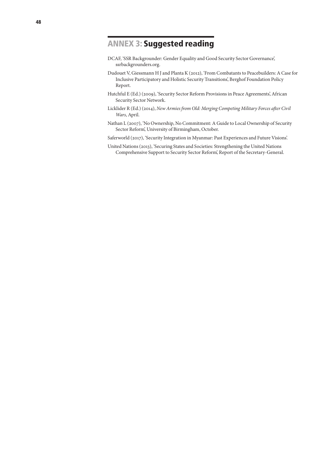### ANNEX 3: Suggested reading

- DCAF, 'SSR Backgrounder: Gender Equality and Good Security Sector Governance', ssrbackgrounders.org.
- Dudouet V, Giessmann H J and Planta K (2012), 'From Combatants to Peacebuilders: A Case for Inclusive Participatory and Holistic Security Transitions', Berghof Foundation Policy Report.
- Hutchful E (Ed.) (2009), 'Security Sector Reform Provisions in Peace Agreements', African Security Sector Network.
- Licklider R (Ed.) (2014), *New Armies from Old: Merging Competing Military Forces after Civil Wars*, April.
- Nathan L (2007), 'No Ownership, No Commitment: A Guide to Local Ownership of Security Sector Reform', University of Birmingham, October.
- Saferworld (2017), 'Security Integration in Myanmar: Past Experiences and Future Visions'.
- United Nations (2013), 'Securing States and Societies: Strengthening the United Nations Comprehensive Support to Security Sector Reform', Report of the Secretary-General.